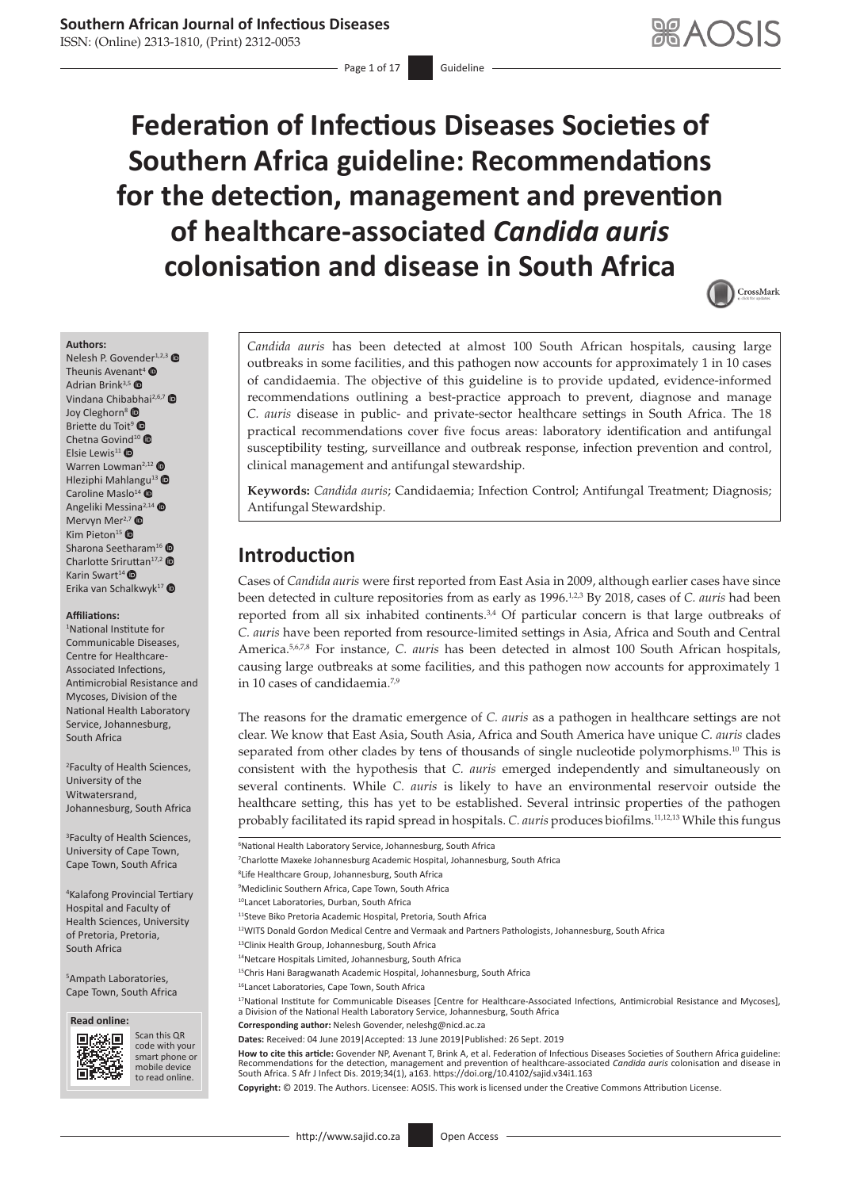- Page 1 of 17 Guideline

# **Federation of Infectious Diseases Societies of Southern Africa guideline: Recommendations for the detection, management and prevention of healthcare-associated** *Candida auris* **colonisation and disease in South Africa**

<span id="page-0-12"></span><span id="page-0-11"></span><span id="page-0-10"></span><span id="page-0-3"></span><span id="page-0-2"></span><span id="page-0-1"></span>

**Authors:**

Nelesh P. Govend[er](https://orcid.org/0000-0003-2367-6479)<sup>1,2,[3](https://orcid.org/0000-0001-7869-9462)</sup> Theunis Avenant<sup>4</sup>  $\bullet$ Adrian Brink<sup>3,5</sup> $\bullet$ Vindana Chibabhai<sup>2,6,[7](https://orcid.org/0000-0002-5115-5999)</sup> Joy Cleghorn<sup>[8](https://orcid.org/0000-0003-4934-8078)</sup> Briette du Toit<sup>9</sup> Chetna Govind<sup>1[0](https://orcid.org/0000-0002-8439-5630)</sup> Elsie Lewis<sup>11</sup> Warren Lowman<sup>2,12</sup> Hleziphi Mahlan[gu](https://orcid.org/0000-0002-0145-3672)<sup>13</sup> <sup>O</sup> Caroline Maslo $^{14}$   $\bullet$ Angeliki Messina<sup>2,1[4](https://orcid.org/0000-0002-1501-3846)</sup> Mervyn Mer<sup>2,[7](https://orcid.org/0000-0003-3338-8251)</sup> Kim Pieton<sup>1[5](https://orcid.org/0000-0002-3071-0965)</sup> $\bullet$ Sharona Seetharam<sup>1[6](https://orcid.org/0000-0002-4576-9556)</sup> Charlotte Sriruttan<sup>17,[2](https://orcid.org/0000-0002-2786-6096)</sup> Karin Swart<sup>1[4](https://orcid.org/0000-0003-2521-5780)</sup> $\bullet$ Erika van Schalkwyk<sup>1[7](https://orcid.org/0000-0002-2411-2483)</sup> ®

#### **Affiliations:**

1 National Institute for Communicable Diseases, Centre for Healthcare-Associated Infections, Antimicrobial Resistance and Mycoses, Division of the National Health Laboratory Service, Johannesburg, South Africa

2 Faculty of Health Sciences, University of the Witwatersrand, Johannesburg, South Africa

3 Faculty of Health Sciences, University of Cape Town, Cape Town, South Africa

4 Kalafong Provincial Tertiary Hospital and Faculty of Health Sciences, University of Pretoria, Pretoria, South Africa

5 Ampath Laboratories, Cape Town, South Africa





Scan this QR code with your smart phone or mobile device to read online.

*Candida auris* has been detected at almost 100 South African hospitals, causing large outbreaks in some facilities, and this pathogen now accounts for approximately 1 in 10 cases of candidaemia. The objective of this guideline is to provide updated, evidence-informed recommendations outlining a best-practice approach to prevent, diagnose and manage *C. auris* disease in public- and private-sector healthcare settings in South Africa. The 18 practical recommendations cover five focus areas: laboratory identification and antifungal susceptibility testing, surveillance and outbreak response, infection prevention and control, clinical management and antifungal stewardship.

**Keywords:** *Candida auris*; Candidaemia; Infection Control; Antifungal Treatment; Diagnosis; Antifungal Stewardship.

## **Introduction**

<span id="page-0-7"></span><span id="page-0-6"></span><span id="page-0-5"></span><span id="page-0-4"></span><span id="page-0-0"></span>Cases of *Candida auris* were first reported from East Asia in 2009, although earlier cases have since been detected in culture repositories from as early as 1996.<sup>1[,2](#page-14-0)[,3](#page-14-1)</sup> By 2018, cases of *C. auris* had been reported from all six inhabited continents. $34$  $34$  Of particular concern is that large outbreaks of *C. auris* have been reported from resource-limited settings in Asia, Africa and South and Central America.<sup>[5,](#page-14-3)[6](#page-14-4),[7](#page-14-5),[8](#page-14-6)</sup> For instance, *C. auris* has been detected in almost 100 South African hospitals, causing large outbreaks at some facilities, and this pathogen now accounts for approximately 1 in 10 cases of candidaemia[.7](#page-14-5)[,9](#page-14-7)

<span id="page-0-9"></span><span id="page-0-8"></span>The reasons for the dramatic emergence of *C. auris* as a pathogen in healthcare settings are not clear. We know that East Asia, South Asia, Africa and South America have unique *C. auris* clades separated from other clades by tens of thousands of single nucleotide polymorphisms.<sup>10</sup> This is consistent with the hypothesis that *C. auris* emerged independently and simultaneously on several continents. While *C. auris* is likely to have an environmental reservoir outside the healthcare setting, this has yet to be established. Several intrinsic properties of the pathogen probably facilitated its rapid spread in hospitals. *C. auris* produces biofilms[.11](#page-14-9)[,12,](#page-14-10)[13](#page-14-11) While this fungus

6 National Health Laboratory Service, Johannesburg, South Africa

- 8 Life Healthcare Group, Johannesburg, South Africa
- 9 Mediclinic Southern Africa, Cape Town, South Africa
- 10Lancet Laboratories, Durban, South Africa
- 11Steve Biko Pretoria Academic Hospital, Pretoria, South Africa
- 12WITS Donald Gordon Medical Centre and Vermaak and Partners Pathologists, Johannesburg, South Africa
- 13Clinix Health Group, Johannesburg, South Africa
- 14Netcare Hospitals Limited, Johannesburg, South Africa
- <sup>15</sup>Chris Hani Baragwanath Academic Hospital, Johannesburg, South Africa
- 16Lancet Laboratories, Cape Town, South Africa

17National Institute for Communicable Diseases [Centre for Healthcare-Associated Infections, Antimicrobial Resistance and Mycoses], a Division of the National Health Laboratory Service, Johannesburg, South Africa

- **Corresponding author:** Nelesh Govender, [neleshg@nicd.ac.za](mailto:neleshg@nicd.ac.za)
- **Dates:** Received: 04 June 2019|Accepted: 13 June 2019|Published: 26 Sept. 2019

**How to cite this article:** Govender NP, Avenant T, Brink A, et al. Federation of Infectious Diseases Societies of Southern Africa guideline: Recommendations for the detection, management and prevention of healthcare-associated *Candida auris* colonisation and disease in<br>South Africa. S Afr J Infect Dis. 2019;34(1), a163. <https://doi.org/10.4102/sajid.v34i1.163>

**Copyright:** © 2019. The Authors. Licensee: AOSIS. This work is licensed under the Creative Commons Attribution License.

<sup>7</sup> Charlotte Maxeke Johannesburg Academic Hospital, Johannesburg, South Africa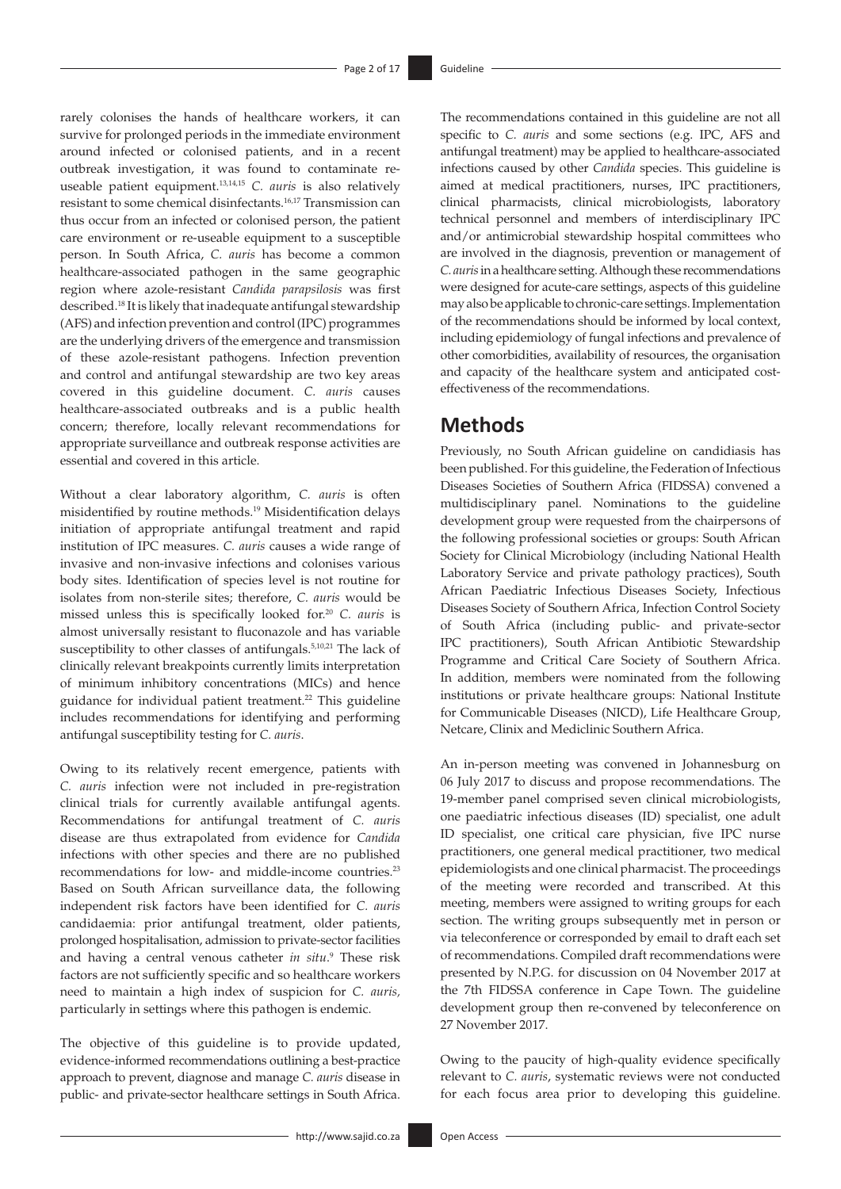<span id="page-1-4"></span><span id="page-1-2"></span>rarely colonises the hands of healthcare workers, it can survive for prolonged periods in the immediate environment around infected or colonised patients, and in a recent outbreak investigation, it was found to contaminate reuseable patient equipment[.13,](#page-14-11)[14](#page-14-12)[,15](#page-14-13) *C. auris* is also relatively resistant to some chemical disinfectants[.16](#page-14-14),[17](#page-14-15) Transmission can thus occur from an infected or colonised person, the patient care environment or re-useable equipment to a susceptible person. In South Africa, *C. auris* has become a common healthcare-associated pathogen in the same geographic region where azole-resistant *Candida parapsilosis* was first described[.18](#page-14-16) It is likely that inadequate antifungal stewardship (AFS) and infection prevention and control (IPC) programmes are the underlying drivers of the emergence and transmission of these azole-resistant pathogens. Infection prevention and control and antifungal stewardship are two key areas covered in this guideline document. *C. auris* causes healthcare-associated outbreaks and is a public health concern; therefore, locally relevant recommendations for appropriate surveillance and outbreak response activities are essential and covered in this article.

<span id="page-1-6"></span><span id="page-1-5"></span>Without a clear laboratory algorithm, *C. auris* is often misidentified by routine methods[.19](#page-14-17) Misidentification delays initiation of appropriate antifungal treatment and rapid institution of IPC measures. *C. auris* causes a wide range of invasive and non-invasive infections and colonises various body sites. Identification of species level is not routine for isolates from non-sterile sites; therefore, *C. auris* would be missed unless this is specifically looked for[.20](#page-14-18) *C. auris* is almost universally resistant to fluconazole and has variable susceptibility to other classes of antifungals[.5](#page-14-3)[,10](#page-14-8),[21](#page-14-19) The lack of clinically relevant breakpoints currently limits interpretation of minimum inhibitory concentrations (MICs) and hence guidance for individual patient treatment.<sup>[22](#page-14-20)</sup> This guideline includes recommendations for identifying and performing antifungal susceptibility testing for *C. auris*.

<span id="page-1-9"></span><span id="page-1-8"></span>Owing to its relatively recent emergence, patients with *C. auris* infection were not included in pre-registration clinical trials for currently available antifungal agents. Recommendations for antifungal treatment of *C. auris* disease are thus extrapolated from evidence for *Candida* infections with other species and there are no published recommendations for low- and middle-income countries[.23](#page-14-21) Based on South African surveillance data, the following independent risk factors have been identified for *C. auris*  candidaemia: prior antifungal treatment, older patients, prolonged hospitalisation, admission to private-sector facilities and having a central venous catheter *in situ*. [9](#page-14-7) These risk factors are not sufficiently specific and so healthcare workers need to maintain a high index of suspicion for *C. auris,* particularly in settings where this pathogen is endemic.

The objective of this guideline is to provide updated, evidence-informed recommendations outlining a best-practice approach to prevent, diagnose and manage *C. auris* disease in public- and private-sector healthcare settings in South Africa.

<span id="page-1-3"></span><span id="page-1-1"></span><span id="page-1-0"></span>The recommendations contained in this guideline are not all specific to *C. auris* and some sections (e.g. IPC, AFS and antifungal treatment) may be applied to healthcare-associated infections caused by other *Candida* species. This guideline is aimed at medical practitioners, nurses, IPC practitioners, clinical pharmacists, clinical microbiologists, laboratory technical personnel and members of interdisciplinary IPC and/or antimicrobial stewardship hospital committees who are involved in the diagnosis, prevention or management of *C. auris* in a healthcare setting. Although these recommendations were designed for acute-care settings, aspects of this guideline may also be applicable to chronic-care settings. Implementation of the recommendations should be informed by local context, including epidemiology of fungal infections and prevalence of other comorbidities, availability of resources, the organisation and capacity of the healthcare system and anticipated costeffectiveness of the recommendations.

## **Methods**

Previously, no South African guideline on candidiasis has been published. For this guideline, the Federation of Infectious Diseases Societies of Southern Africa (FIDSSA) convened a multidisciplinary panel. Nominations to the guideline development group were requested from the chairpersons of the following professional societies or groups: South African Society for Clinical Microbiology (including National Health Laboratory Service and private pathology practices), South African Paediatric Infectious Diseases Society, Infectious Diseases Society of Southern Africa, Infection Control Society of South Africa (including public- and private-sector IPC practitioners), South African Antibiotic Stewardship Programme and Critical Care Society of Southern Africa. In addition, members were nominated from the following institutions or private healthcare groups: National Institute for Communicable Diseases (NICD), Life Healthcare Group, Netcare, Clinix and Mediclinic Southern Africa.

<span id="page-1-7"></span>An in-person meeting was convened in Johannesburg on 06 July 2017 to discuss and propose recommendations. The 19-member panel comprised seven clinical microbiologists, one paediatric infectious diseases (ID) specialist, one adult ID specialist, one critical care physician, five IPC nurse practitioners, one general medical practitioner, two medical epidemiologists and one clinical pharmacist. The proceedings of the meeting were recorded and transcribed. At this meeting, members were assigned to writing groups for each section. The writing groups subsequently met in person or via teleconference or corresponded by email to draft each set of recommendations. Compiled draft recommendations were presented by N.P.G. for discussion on 04 November 2017 at the 7th FIDSSA conference in Cape Town. The guideline development group then re-convened by teleconference on 27 November 2017.

Owing to the paucity of high-quality evidence specifically relevant to *C. auris*, systematic reviews were not conducted for each focus area prior to developing this guideline.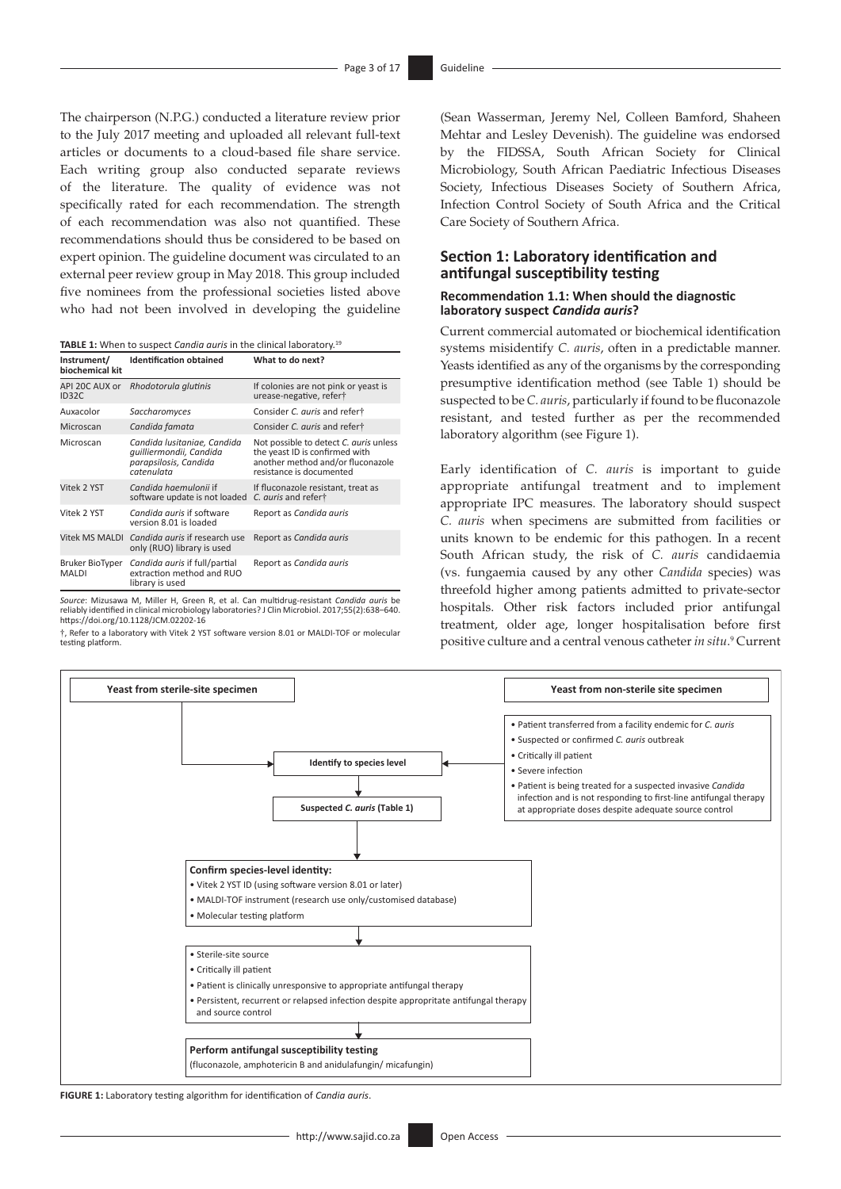The chairperson (N.P.G.) conducted a literature review prior to the July 2017 meeting and uploaded all relevant full-text articles or documents to a cloud-based file share service. Each writing group also conducted separate reviews of the literature. The quality of evidence was not specifically rated for each recommendation. The strength of each recommendation was also not quantified. These recommendations should thus be considered to be based on expert opinion. The guideline document was circulated to an external peer review group in May 2018. This group included five nominees from the professional societies listed above who had not been involved in developing the guideline

| <b>TABLE 1:</b> When to suspect <i>Candia auris</i> in the clinical laboratory. <sup>19</sup> |  |
|-----------------------------------------------------------------------------------------------|--|
|-----------------------------------------------------------------------------------------------|--|

| Instrument/<br>biochemical kit  | <b>Identification obtained</b>                                                                | What to do next?                                                                                                                          |
|---------------------------------|-----------------------------------------------------------------------------------------------|-------------------------------------------------------------------------------------------------------------------------------------------|
| API 20C AUX or<br>ID32C         | Rhodotorula glutinis                                                                          | If colonies are not pink or yeast is<br>urease-negative, refert                                                                           |
| Auxacolor                       | Saccharomyces                                                                                 | Consider C. auris and refert                                                                                                              |
| Microscan                       | Candida famata                                                                                | Consider C. auris and refert                                                                                                              |
| Microscan                       | Candida Iusitaniae, Candida<br>quilliermondii, Candida<br>parapsilosis, Candida<br>catenulata | Not possible to detect C. auris unless<br>the yeast ID is confirmed with<br>another method and/or fluconazole<br>resistance is documented |
| Vitek 2 YST                     | Candida haemulonii if<br>software update is not loaded                                        | If fluconazole resistant, treat as<br>C. auris and refert                                                                                 |
| Vitek 2 YST                     | Candida auris if software<br>version 8.01 is loaded                                           | Report as Candida auris                                                                                                                   |
| <b>Vitek MS MALDI</b>           | Candida auris if research use<br>only (RUO) library is used                                   | Report as Candida auris                                                                                                                   |
| Bruker BioTyper<br><b>MALDI</b> | Candida auris if full/partial<br>extraction method and RUO<br>library is used                 | Report as Candida auris                                                                                                                   |

*Source*: Mizusawa M, Miller H, Green R, et al. Can multidrug-resistant *Candida auris* be reliably identified in clinical microbiology laboratories? J Clin Microbiol. 2017;55(2):638–640. <https://doi.org/10.1128/JCM.02202-16>

†, Refer to a laboratory with Vitek 2 YST software version 8.01 or MALDI-TOF or molecular testing platform.

(Sean Wasserman, Jeremy Nel, Colleen Bamford, Shaheen Mehtar and Lesley Devenish). The guideline was endorsed by the FIDSSA, South African Society for Clinical Microbiology, South African Paediatric Infectious Diseases Society, Infectious Diseases Society of Southern Africa, Infection Control Society of South Africa and the Critical Care Society of Southern Africa.

## **Section 1: Laboratory identification and antifungal susceptibility testing**

#### **Recommendation 1.1: When should the diagnostic laboratory suspect** *Candida auris***?**

Current commercial automated or biochemical identification systems misidentify *C. auris*, often in a predictable manner. Yeasts identified as any of the organisms by the corresponding presumptive identification method (see Table 1) should be suspected to be *C. auris*, particularly if found to be fluconazole resistant, and tested further as per the recommended laboratory algorithm (see Figure 1).

Early identification of *C. auris* is important to guide appropriate antifungal treatment and to implement appropriate IPC measures. The laboratory should suspect *C. auris* when specimens are submitted from facilities or units known to be endemic for this pathogen. In a recent South African study, the risk of *C. auris* candidaemia (vs. fungaemia caused by any other *Candida* species) was threefold higher among patients admitted to private-sector hospitals. Other risk factors included prior antifungal treatment, older age, longer hospitalisation before first positive culture and a central venous catheter *in situ*. [9](#page-14-7) Current



**FIGURE 1:** Laboratory testing algorithm for identification of *Candia auris*.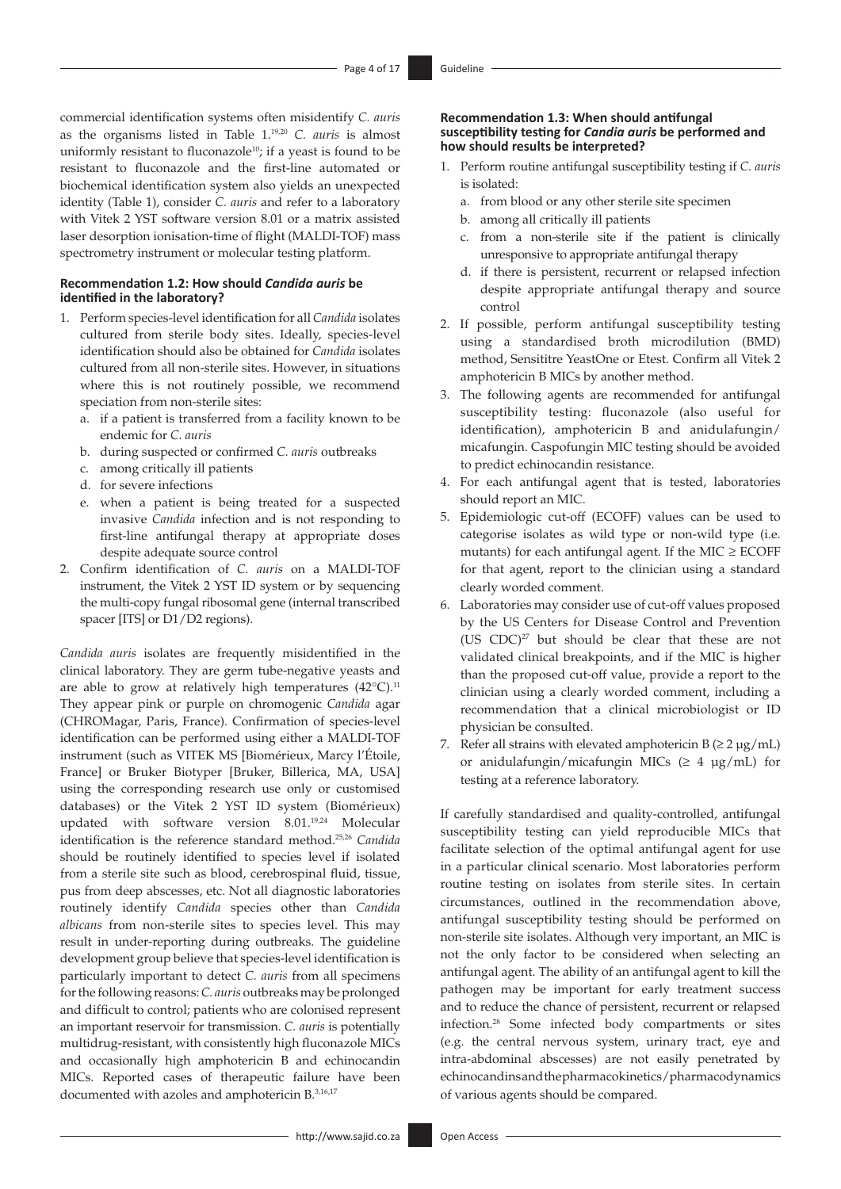commercial identification systems often misidentify *C. auris* as the organisms listed in Table 1.[19](#page-14-17)[,20](#page-14-18) *C. auris* is almost uniformly resistant to fluconazole<sup>10</sup>; if a yeast is found to be resistant to fluconazole and the first-line automated or biochemical identification system also yields an unexpected identity (Table 1), consider *C. auris* and refer to a laboratory with Vitek 2 YST software version 8.01 or a matrix assisted laser desorption ionisation-time of flight (MALDI-TOF) mass spectrometry instrument or molecular testing platform.

## **Recommendation 1.2: How should** *Candida auris* **be identified in the laboratory?**

- 1. Perform species-level identification for all *Candida* isolates cultured from sterile body sites. Ideally, species-level identification should also be obtained for *Candida* isolates cultured from all non-sterile sites. However, in situations where this is not routinely possible, we recommend speciation from non-sterile sites:
	- a. if a patient is transferred from a facility known to be endemic for *C. auris*
	- b. during suspected or confirmed *C. auris* outbreaks
	- c. among critically ill patients
	- d. for severe infections
	- e. when a patient is being treated for a suspected invasive *Candida* infection and is not responding to first-line antifungal therapy at appropriate doses despite adequate source control
- 2. Confirm identification of *C. auris* on a MALDI-TOF instrument, the Vitek 2 YST ID system or by sequencing the multi-copy fungal ribosomal gene (internal transcribed spacer [ITS] or D1/D2 regions).

<span id="page-3-1"></span>*Candida auris* isolates are frequently misidentified in the clinical laboratory. They are germ tube-negative yeasts and are able to grow at relatively high temperatures  $(42^{\circ}C)^{11}$  $(42^{\circ}C)^{11}$  $(42^{\circ}C)^{11}$ They appear pink or purple on chromogenic *Candida* agar (CHROMagar, Paris, France). Confirmation of species-level identification can be performed using either a MALDI-TOF instrument (such as VITEK MS [Biomérieux, Marcy l'Étoile, France] or Bruker Biotyper [Bruker, Billerica, MA, USA] using the corresponding research use only or customised databases) or the Vitek 2 YST ID system (Biomérieux) updated with software version 8.01.[19](#page-14-17),[24](#page-14-22) Molecular identification is the reference standard method[.25,](#page-14-23)[26](#page-14-24) *Candida* should be routinely identified to species level if isolated from a sterile site such as blood, cerebrospinal fluid, tissue, pus from deep abscesses, etc. Not all diagnostic laboratories routinely identify *Candida* species other than *Candida albicans* from non-sterile sites to species level. This may result in under-reporting during outbreaks. The guideline development group believe that species-level identification is particularly important to detect *C. auris* from all specimens for the following reasons: *C. auris* outbreaks may be prolonged and difficult to control; patients who are colonised represent an important reservoir for transmission. *C. auris* is potentially multidrug-resistant, with consistently high fluconazole MICs and occasionally high amphotericin B and echinocandin MICs. Reported cases of therapeutic failure have been documented with azoles and amphotericin B[.3,](#page-14-1)[16](#page-14-14),[17](#page-14-15)

#### **Recommendation 1.3: When should antifungal susceptibility testing for** *Candia auris* **be performed and how should results be interpreted?**

- 1. Perform routine antifungal susceptibility testing if *C. auris* is isolated:
	- a. from blood or any other sterile site specimen
	- b. among all critically ill patients
	- c. from a non-sterile site if the patient is clinically unresponsive to appropriate antifungal therapy
	- d. if there is persistent, recurrent or relapsed infection despite appropriate antifungal therapy and source control
- 2. If possible, perform antifungal susceptibility testing using a standardised broth microdilution (BMD) method, Sensititre YeastOne or Etest. Confirm all Vitek 2 amphotericin B MICs by another method.
- 3. The following agents are recommended for antifungal susceptibility testing: fluconazole (also useful for identification), amphotericin B and anidulafungin/ micafungin. Caspofungin MIC testing should be avoided to predict echinocandin resistance.
- 4. For each antifungal agent that is tested, laboratories should report an MIC.
- 5. Epidemiologic cut-off (ECOFF) values can be used to categorise isolates as wild type or non-wild type (i.e. mutants) for each antifungal agent. If the MIC  $\geq$  ECOFF for that agent, report to the clinician using a standard clearly worded comment.
- <span id="page-3-3"></span>6. Laboratories may consider use of cut-off values proposed by the US Centers for Disease Control and Prevention (US  $CDC$ )<sup>27</sup> but should be clear that these are not validated clinical breakpoints, and if the MIC is higher than the proposed cut-off value, provide a report to the clinician using a clearly worded comment, including a recommendation that a clinical microbiologist or ID physician be consulted.
- 7. Refer all strains with elevated amphotericin  $B \approx 2 \mu g/mL$ ) or anidulafungin/micafungin MICs  $(≥ 4 \mu g/mL)$  for testing at a reference laboratory.

<span id="page-3-4"></span><span id="page-3-2"></span><span id="page-3-0"></span>If carefully standardised and quality-controlled, antifungal susceptibility testing can yield reproducible MICs that facilitate selection of the optimal antifungal agent for use in a particular clinical scenario. Most laboratories perform routine testing on isolates from sterile sites. In certain circumstances, outlined in the recommendation above, antifungal susceptibility testing should be performed on non-sterile site isolates. Although very important, an MIC is not the only factor to be considered when selecting an antifungal agent. The ability of an antifungal agent to kill the pathogen may be important for early treatment success and to reduce the chance of persistent, recurrent or relapsed infection.[28](#page-14-26) Some infected body compartments or sites (e.g. the central nervous system, urinary tract, eye and intra-abdominal abscesses) are not easily penetrated by echinocandins and the pharmacokinetics/pharmacodynamics of various agents should be compared.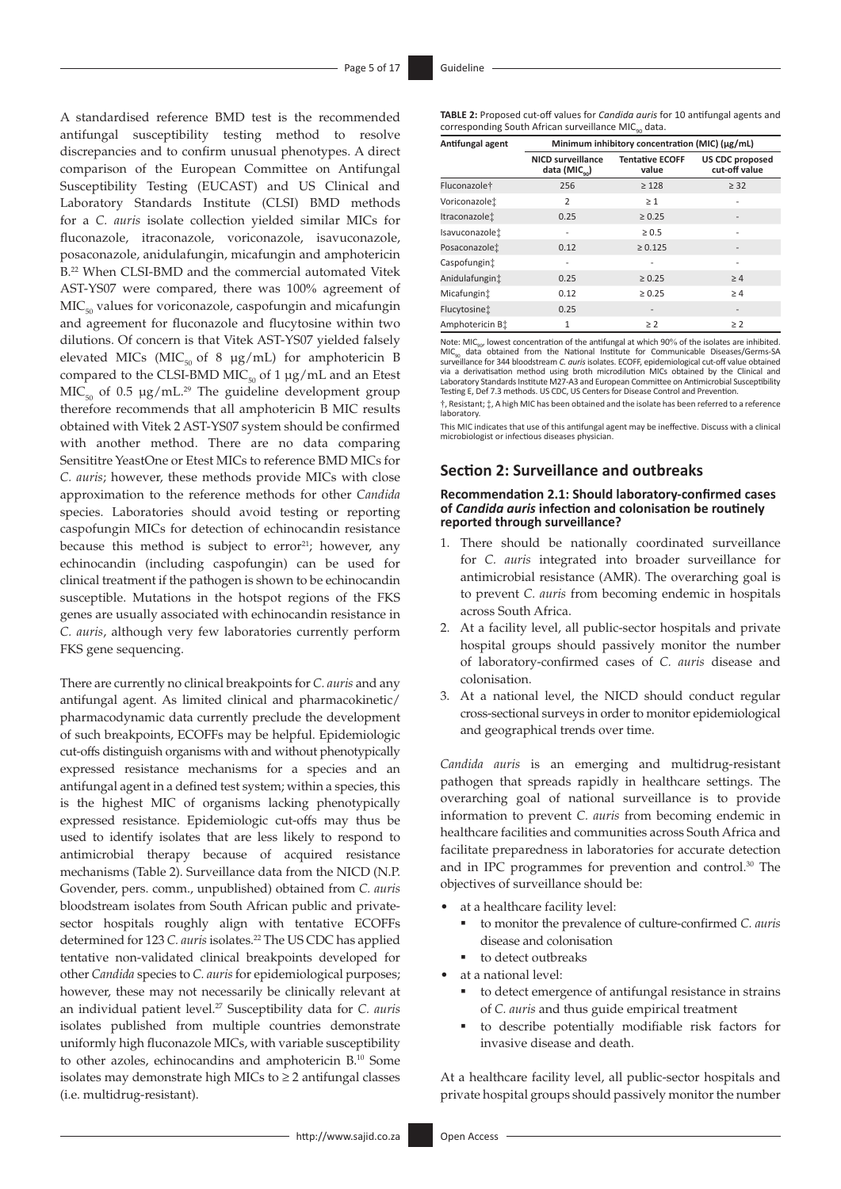<span id="page-4-0"></span>A standardised reference BMD test is the recommended antifungal susceptibility testing method to resolve discrepancies and to confirm unusual phenotypes. A direct comparison of the European Committee on Antifungal Susceptibility Testing (EUCAST) and US Clinical and Laboratory Standards Institute (CLSI) BMD methods for a *C. auris* isolate collection yielded similar MICs for fluconazole, itraconazole, voriconazole, isavuconazole, posaconazole, anidulafungin, micafungin and amphotericin B[.22](#page-14-20) When CLSI-BMD and the commercial automated Vitek AST-YS07 were compared, there was 100% agreement of  $MIC<sub>50</sub>$  values for voriconazole, caspofungin and micafungin and agreement for fluconazole and flucytosine within two dilutions. Of concern is that Vitek AST-YS07 yielded falsely elevated MICs (MIC<sub>50</sub> of 8  $\mu$ g/mL) for amphotericin B compared to the CLSI-BMD MIC $_{50}$  of 1  $\mu$ g/mL and an Etest  $MIC<sub>50</sub>$  of 0.5 µg/mL.<sup>29</sup> The guideline development group therefore recommends that all amphotericin B MIC results obtained with Vitek 2 AST-YS07 system should be confirmed with another method. There are no data comparing Sensititre YeastOne or Etest MICs to reference BMD MICs for *C. auris*; however, these methods provide MICs with close approximation to the reference methods for other *Candida* species. Laboratories should avoid testing or reporting caspofungin MICs for detection of echinocandin resistance because this method is subject to  $error<sup>21</sup>$  $error<sup>21</sup>$  $error<sup>21</sup>$ ; however, any echinocandin (including caspofungin) can be used for clinical treatment if the pathogen is shown to be echinocandin susceptible. Mutations in the hotspot regions of the FKS genes are usually associated with echinocandin resistance in *C. auris*, although very few laboratories currently perform FKS gene sequencing.

There are currently no clinical breakpoints for *C. auris* and any antifungal agent. As limited clinical and pharmacokinetic/ pharmacodynamic data currently preclude the development of such breakpoints, ECOFFs may be helpful. Epidemiologic cut-offs distinguish organisms with and without phenotypically expressed resistance mechanisms for a species and an antifungal agent in a defined test system; within a species, this is the highest MIC of organisms lacking phenotypically expressed resistance. Epidemiologic cut-offs may thus be used to identify isolates that are less likely to respond to antimicrobial therapy because of acquired resistance mechanisms (Table 2). Surveillance data from the NICD (N.P. Govender, pers. comm., unpublished) obtained from *C. auris* bloodstream isolates from South African public and privatesector hospitals roughly align with tentative ECOFFs determined for 123 *C. auris* isolates.<sup>22</sup> The US CDC has applied tentative non-validated clinical breakpoints developed for other *Candida* species to *C. auris* for epidemiological purposes; however, these may not necessarily be clinically relevant at an individual patient level[.27](#page-14-25) Susceptibility data for *C. auris* isolates published from multiple countries demonstrate uniformly high fluconazole MICs, with variable susceptibility to other azoles, echinocandins and amphotericin B.[10](#page-14-8) Some isolates may demonstrate high MICs to  $\geq 2$  antifungal classes (i.e. multidrug-resistant).

**TABLE 2:** Proposed cut-off values for *Candida auris* for 10 antifungal agents and corresponding South African surveillance MIC<sub>90</sub> data.

| Antifungal agent        | Minimum inhibitory concentration (MIC) (µg/mL)        |                                 |                                         |  |
|-------------------------|-------------------------------------------------------|---------------------------------|-----------------------------------------|--|
|                         | <b>NICD surveillance</b><br>data (MIC <sub>oo</sub> ) | <b>Tentative ECOFF</b><br>value | <b>US CDC proposed</b><br>cut-off value |  |
| Fluconazole†            | 256                                                   | $\geq 128$                      | $\geq$ 32                               |  |
| Voriconazolet           | $\overline{2}$                                        | $\geq 1$                        |                                         |  |
| Itraconazolei           | 0.25                                                  | $\geq 0.25$                     |                                         |  |
| Isavuconazole:          |                                                       | $\geq 0.5$                      |                                         |  |
| Posaconazole:           | 0.12                                                  | $\ge 0.125$                     |                                         |  |
| Caspofungint            |                                                       |                                 |                                         |  |
| Anidulafungint          | 0.25                                                  | $\geq 0.25$                     | $\geq 4$                                |  |
| Micafungin <sup>+</sup> | 0.12                                                  | $\geq 0.25$                     | $\geq 4$                                |  |
| Flucytosinet            | 0.25                                                  | $\overline{\phantom{a}}$        | $\overline{a}$                          |  |
| Amphotericin Bt         | $\mathbf{1}$                                          | $\geq 2$                        | $\geq$ 2                                |  |

Note: MIC<sub>90</sub>, lowest concentration of the antifungal at which 90% of the isolates are inhibited.<br>MIC<sub>90</sub>, data obtained from the National Institute for Communicable Diseases/Germs-SA<br>surveillance for 344 bloodstream C. au via a derivatisation method using broth microdilution MICs obtained by the Clinical and Laboratory Standards Institute M27-A3 and European Committee on Antimicrobial Susceptibility Testing E, Def 7.3 methods. US CDC, US Centers for Disease Control and Prevention.

†, Resistant; ‡, A high MIC has been obtained and the isolate has been referred to a reference laboratory.

This MIC indicates that use of this antifungal agent may be ineffective. Discuss with a clinical microbiologist or infectious diseases physician.

## **Section 2: Surveillance and outbreaks**

#### **Recommendation 2.1: Should laboratory-confirmed cases of** *Candida auris* **infection and colonisation be routinely reported through surveillance?**

- 1. There should be nationally coordinated surveillance for *C. auris* integrated into broader surveillance for antimicrobial resistance (AMR). The overarching goal is to prevent *C. auris* from becoming endemic in hospitals across South Africa.
- 2. At a facility level, all public-sector hospitals and private hospital groups should passively monitor the number of laboratory-confirmed cases of *C. auris* disease and colonisation.
- 3. At a national level, the NICD should conduct regular cross-sectional surveys in order to monitor epidemiological and geographical trends over time.

*Candida auris* is an emerging and multidrug-resistant pathogen that spreads rapidly in healthcare settings. The overarching goal of national surveillance is to provide information to prevent *C. auris* from becoming endemic in healthcare facilities and communities across South Africa and facilitate preparedness in laboratories for accurate detection and in IPC programmes for prevention and control.[30](#page-14-28) The objectives of surveillance should be:

- <span id="page-4-1"></span>at a healthcare facility level:
	- ß to monitor the prevalence of culture-confirmed *C. auris* disease and colonisation
	- to detect outbreaks
- at a national level:
	- to detect emergence of antifungal resistance in strains of *C. auris* and thus guide empirical treatment
	- ß to describe potentially modifiable risk factors for invasive disease and death.

At a healthcare facility level, all public-sector hospitals and private hospital groups should passively monitor the number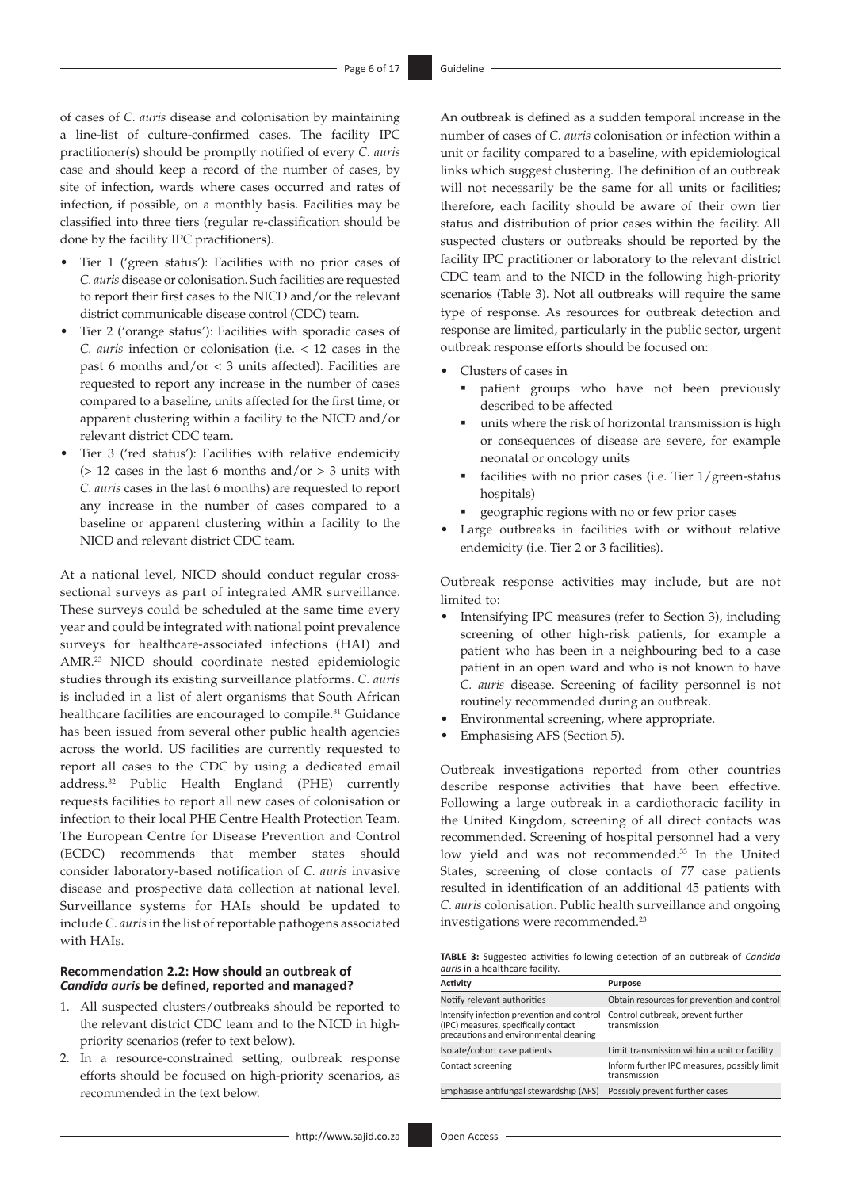of cases of *C. auris* disease and colonisation by maintaining a line-list of culture-confirmed cases. The facility IPC practitioner(s) should be promptly notified of every *C. auris* case and should keep a record of the number of cases, by site of infection, wards where cases occurred and rates of infection, if possible, on a monthly basis. Facilities may be classified into three tiers (regular re-classification should be done by the facility IPC practitioners).

- Tier 1 ('green status'): Facilities with no prior cases of *C. auris* disease or colonisation. Such facilities are requested to report their first cases to the NICD and/or the relevant district communicable disease control (CDC) team.
- Tier 2 ('orange status'): Facilities with sporadic cases of *C. auris* infection or colonisation (i.e. < 12 cases in the past 6 months and/or < 3 units affected). Facilities are requested to report any increase in the number of cases compared to a baseline, units affected for the first time, or apparent clustering within a facility to the NICD and/or relevant district CDC team.
- Tier 3 ('red status'): Facilities with relative endemicity ( $> 12$  cases in the last 6 months and/or  $> 3$  units with *C. auris* cases in the last 6 months) are requested to report any increase in the number of cases compared to a baseline or apparent clustering within a facility to the NICD and relevant district CDC team.

<span id="page-5-0"></span>At a national level, NICD should conduct regular crosssectional surveys as part of integrated AMR surveillance. These surveys could be scheduled at the same time every year and could be integrated with national point prevalence surveys for healthcare-associated infections (HAI) and AMR.[23](#page-14-21) NICD should coordinate nested epidemiologic studies through its existing surveillance platforms. *C. auris* is included in a list of alert organisms that South African healthcare facilities are encouraged to compile.<sup>[31](#page-14-29)</sup> Guidance has been issued from several other public health agencies across the world. US facilities are currently requested to report all cases to the CDC by using a dedicated email address.[32](#page-14-30) Public Health England (PHE) currently requests facilities to report all new cases of colonisation or infection to their local PHE Centre Health Protection Team. The European Centre for Disease Prevention and Control (ECDC) recommends that member states should consider laboratory-based notification of *C. auris* invasive disease and prospective data collection at national level. Surveillance systems for HAIs should be updated to include *C. auris* in the list of reportable pathogens associated with HAIs.

## <span id="page-5-1"></span>**Recommendation 2.2: How should an outbreak of**  *Candida auris* **be defined, reported and managed?**

- 1. All suspected clusters/outbreaks should be reported to the relevant district CDC team and to the NICD in highpriority scenarios (refer to text below).
- 2. In a resource-constrained setting, outbreak response efforts should be focused on high-priority scenarios, as recommended in the text below.

An outbreak is defined as a sudden temporal increase in the number of cases of *C. auris* colonisation or infection within a unit or facility compared to a baseline, with epidemiological links which suggest clustering. The definition of an outbreak will not necessarily be the same for all units or facilities; therefore, each facility should be aware of their own tier status and distribution of prior cases within the facility. All suspected clusters or outbreaks should be reported by the facility IPC practitioner or laboratory to the relevant district CDC team and to the NICD in the following high-priority scenarios (Table 3). Not all outbreaks will require the same type of response. As resources for outbreak detection and response are limited, particularly in the public sector, urgent outbreak response efforts should be focused on:

- Clusters of cases in
	- ß patient groups who have not been previously described to be affected
	- ß units where the risk of horizontal transmission is high or consequences of disease are severe, for example neonatal or oncology units
	- facilities with no prior cases (i.e. Tier 1/green-status hospitals)
	- **e** geographic regions with no or few prior cases
- Large outbreaks in facilities with or without relative endemicity (i.e. Tier 2 or 3 facilities).

Outbreak response activities may include, but are not limited to:

- Intensifying IPC measures (refer to Section 3), including screening of other high-risk patients, for example a patient who has been in a neighbouring bed to a case patient in an open ward and who is not known to have *C. auris* disease. Screening of facility personnel is not routinely recommended during an outbreak.
- Environmental screening, where appropriate.
- Emphasising AFS (Section 5).

<span id="page-5-2"></span>Outbreak investigations reported from other countries describe response activities that have been effective. Following a large outbreak in a cardiothoracic facility in the United Kingdom, screening of all direct contacts was recommended. Screening of hospital personnel had a very low yield and was not recommended[.33](#page-14-31) In the United States, screening of close contacts of 77 case patients resulted in identification of an additional 45 patients with *C. auris* colonisation. Public health surveillance and ongoing investigations were recommended.[23](#page-14-21)

**TABLE 3:** Suggested activities following detection of an outbreak of *Candida auris* in a healthcare facility.

| Activity                                                                                                                     | Purpose                                                     |
|------------------------------------------------------------------------------------------------------------------------------|-------------------------------------------------------------|
| Notify relevant authorities                                                                                                  | Obtain resources for prevention and control                 |
| Intensify infection prevention and control<br>(IPC) measures, specifically contact<br>precautions and environmental cleaning | Control outbreak, prevent further<br>transmission           |
| Isolate/cohort case patients                                                                                                 | Limit transmission within a unit or facility                |
| Contact screening                                                                                                            | Inform further IPC measures, possibly limit<br>transmission |
| Emphasise antifungal stewardship (AFS)                                                                                       | Possibly prevent further cases                              |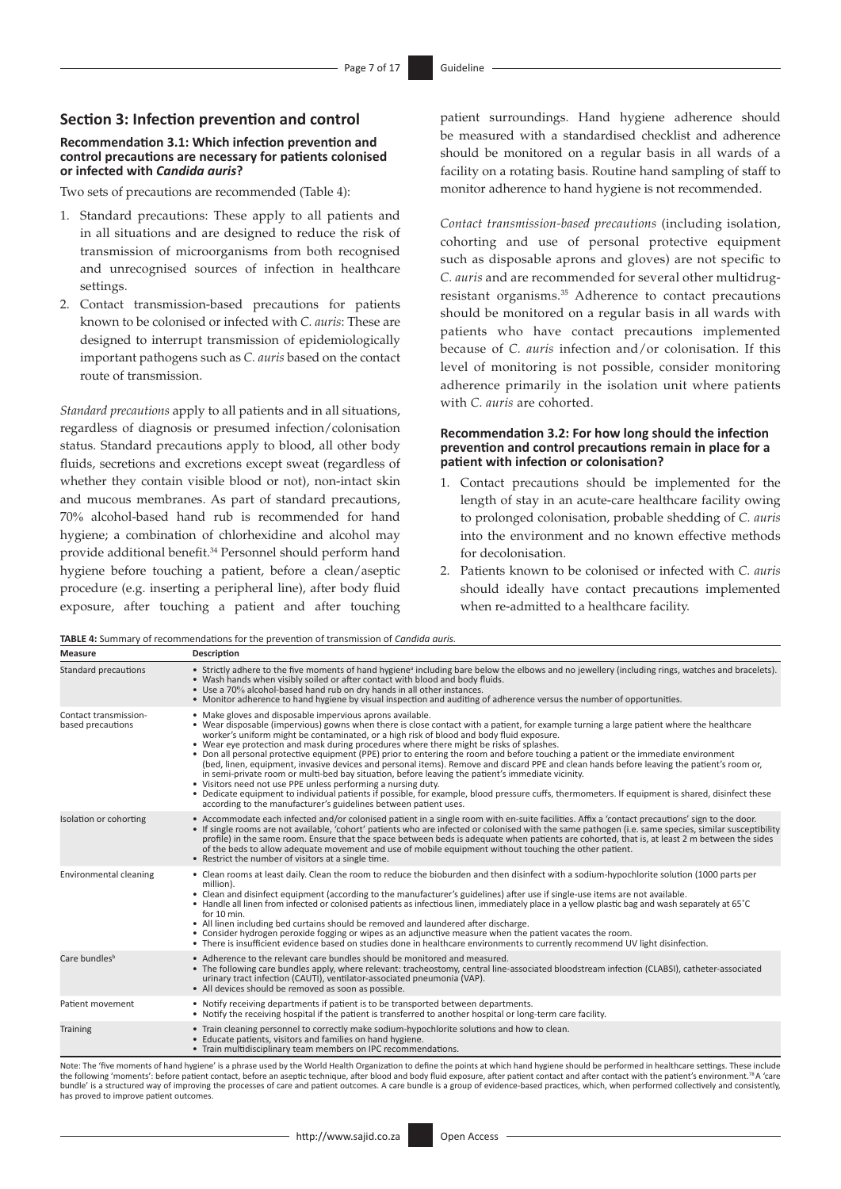## **Section 3: Infection prevention and control**

#### **Recommendation 3.1: Which infection prevention and control precautions are necessary for patients colonised or infected with** *Candida auris***?**

Two sets of precautions are recommended (Table 4):

- 1. Standard precautions: These apply to all patients and in all situations and are designed to reduce the risk of transmission of microorganisms from both recognised and unrecognised sources of infection in healthcare settings.
- 2. Contact transmission-based precautions for patients known to be colonised or infected with *C. auris*: These are designed to interrupt transmission of epidemiologically important pathogens such as *C. auris* based on the contact route of transmission.

*Standard precautions* apply to all patients and in all situations, regardless of diagnosis or presumed infection/colonisation status. Standard precautions apply to blood, all other body fluids, secretions and excretions except sweat (regardless of whether they contain visible blood or not), non-intact skin and mucous membranes. As part of standard precautions, 70% alcohol-based hand rub is recommended for hand hygiene; a combination of chlorhexidine and alcohol may provide additional benefit.<sup>[34](#page-14-32)</sup> Personnel should perform hand hygiene before touching a patient, before a clean/aseptic procedure (e.g. inserting a peripheral line), after body fluid exposure, after touching a patient and after touching

patient surroundings. Hand hygiene adherence should be measured with a standardised checklist and adherence should be monitored on a regular basis in all wards of a facility on a rotating basis. Routine hand sampling of staff to monitor adherence to hand hygiene is not recommended.

<span id="page-6-1"></span>*Contact transmission-based precautions* (including isolation, cohorting and use of personal protective equipment such as disposable aprons and gloves) are not specific to *C. auris* and are recommended for several other multidrugresistant organisms.[35](#page-14-33) Adherence to contact precautions should be monitored on a regular basis in all wards with patients who have contact precautions implemented because of *C. auris* infection and/or colonisation. If this level of monitoring is not possible, consider monitoring adherence primarily in the isolation unit where patients with *C. auris* are cohorted.

#### **Recommendation 3.2: For how long should the infection prevention and control precautions remain in place for a patient with infection or colonisation?**

- 1. Contact precautions should be implemented for the length of stay in an acute-care healthcare facility owing to prolonged colonisation, probable shedding of *C. auris*  into the environment and no known effective methods for decolonisation.
- 2. Patients known to be colonised or infected with *C. auris* should ideally have contact precautions implemented when re-admitted to a healthcare facility.

<span id="page-6-0"></span>**TABLE 4:** Summary of recommendations for the prevention of transmission of *Candida auris.*

| <b>Measure</b>                             | Description                                                                                                                                                                                                                                                                                                                                                                                                                                                                                                                                                                                                                                                                                                                                                                                                                                                                                                                                                                                                                                                                        |
|--------------------------------------------|------------------------------------------------------------------------------------------------------------------------------------------------------------------------------------------------------------------------------------------------------------------------------------------------------------------------------------------------------------------------------------------------------------------------------------------------------------------------------------------------------------------------------------------------------------------------------------------------------------------------------------------------------------------------------------------------------------------------------------------------------------------------------------------------------------------------------------------------------------------------------------------------------------------------------------------------------------------------------------------------------------------------------------------------------------------------------------|
| Standard precautions                       | • Strictly adhere to the five moments of hand hygiene <sup>a</sup> including bare below the elbows and no jewellery (including rings, watches and bracelets).<br>. Wash hands when visibly soiled or after contact with blood and body fluids.<br>• Use a 70% alcohol-based hand rub on dry hands in all other instances.<br>• Monitor adherence to hand hygiene by visual inspection and auditing of adherence versus the number of opportunities.                                                                                                                                                                                                                                                                                                                                                                                                                                                                                                                                                                                                                                |
| Contact transmission-<br>based precautions | • Make gloves and disposable impervious aprons available.<br>• Wear disposable (impervious) gowns when there is close contact with a patient, for example turning a large patient where the healthcare<br>worker's uniform might be contaminated, or a high risk of blood and body fluid exposure.<br>• Wear eve protection and mask during procedures where there might be risks of splashes.<br>• Don all personal protective equipment (PPE) prior to entering the room and before touching a patient or the immediate environment<br>(bed, linen, equipment, invasive devices and personal items). Remove and discard PPE and clean hands before leaving the patient's room or,<br>in semi-private room or multi-bed bay situation, before leaving the patient's immediate vicinity.<br>• Visitors need not use PPE unless performing a nursing duty.<br>• Dedicate equipment to individual patients if possible, for example, blood pressure cuffs, thermometers. If equipment is shared, disinfect these<br>according to the manufacturer's guidelines between patient uses. |
| Isolation or cohorting                     | • Accommodate each infected and/or colonised patient in a single room with en-suite facilities. Affix a 'contact precautions' sign to the door.<br>• If single rooms are not available, 'cohort' patients who are infected or colonised with the same pathogen (i.e. same species, similar susceptibility<br>profile) in the same room. Ensure that the space between beds is adequate when patients are cohorted, that is, at least 2 m between the sides<br>of the beds to allow adequate movement and use of mobile equipment without touching the other patient.<br>• Restrict the number of visitors at a single time.                                                                                                                                                                                                                                                                                                                                                                                                                                                        |
| Environmental cleaning                     | • Clean rooms at least daily. Clean the room to reduce the bioburden and then disinfect with a sodium-hypochlorite solution (1000 parts per<br>million).<br>• Clean and disinfect equipment (according to the manufacturer's guidelines) after use if single-use items are not available.<br>• Handle all linen from infected or colonised patients as infectious linen, immediately place in a yellow plastic bag and wash separately at 65°C<br>for 10 min.<br>• All linen including bed curtains should be removed and laundered after discharge.<br>• Consider hydrogen peroxide fogging or wipes as an adjunctive measure when the patient vacates the room.<br>• There is insufficient evidence based on studies done in healthcare environments to currently recommend UV light disinfection.                                                                                                                                                                                                                                                                               |
| Care bundles <sup>b</sup>                  | • Adherence to the relevant care bundles should be monitored and measured.<br>. The following care bundles apply, where relevant: tracheostomy, central line-associated bloodstream infection (CLABSI), catheter-associated<br>urinary tract infection (CAUTI), ventilator-associated pneumonia (VAP).<br>• All devices should be removed as soon as possible.                                                                                                                                                                                                                                                                                                                                                                                                                                                                                                                                                                                                                                                                                                                     |
| Patient movement                           | • Notify receiving departments if patient is to be transported between departments.<br>. Notify the receiving hospital if the patient is transferred to another hospital or long-term care facility.                                                                                                                                                                                                                                                                                                                                                                                                                                                                                                                                                                                                                                                                                                                                                                                                                                                                               |
| <b>Training</b>                            | • Train cleaning personnel to correctly make sodium-hypochlorite solutions and how to clean.<br>• Educate patients, visitors and families on hand hygiene.<br>• Train multidisciplinary team members on IPC recommendations.                                                                                                                                                                                                                                                                                                                                                                                                                                                                                                                                                                                                                                                                                                                                                                                                                                                       |

Note: The 'five moments of hand hygiene' is a phrase used by the World Health Organization to define the points at which hand hygiene should be performed in healthcare settings. These include the following 'moments': before patient contact, before an aseptic technique, after blood and body fluid exposure, after patient contact and after contact with the patient's environment[.78](#page-15-0)A 'care bundle' is a structured way of improving the processes of care and patient outcomes. A care bundle is a group of evidence-based practices, which, when performed collectively and consistently, has proved to improve patient outcomes.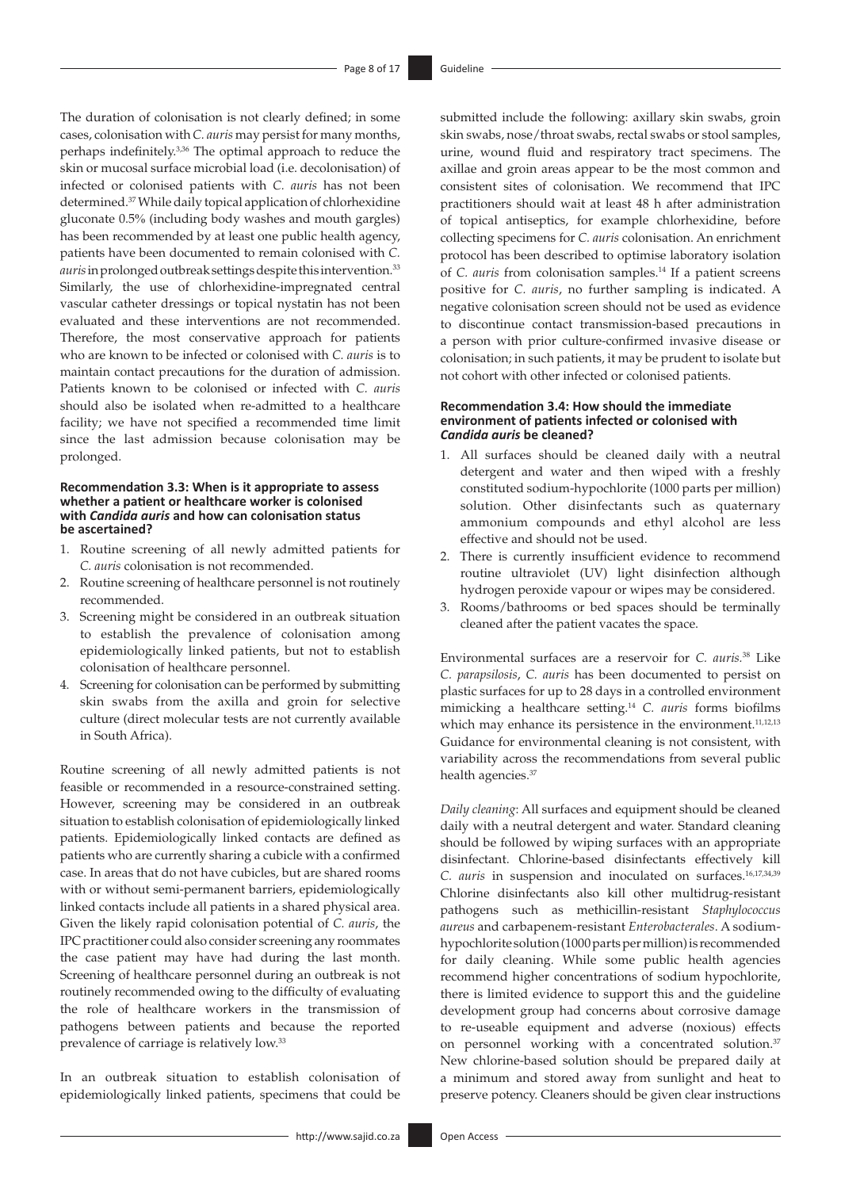<span id="page-7-1"></span>The duration of colonisation is not clearly defined; in some cases, colonisation with *C. auris* may persist for many months, perhaps indefinitely.[3](#page-14-1),[36](#page-14-34) The optimal approach to reduce the skin or mucosal surface microbial load (i.e. decolonisation) of infected or colonised patients with *C. auris* has not been determined.[37](#page-14-35) While daily topical application of chlorhexidine gluconate 0.5% (including body washes and mouth gargles) has been recommended by at least one public health agency, patients have been documented to remain colonised with *C. auris* inprolonged outbreak settings despite this intervention[.33](#page-14-31) Similarly, the use of chlorhexidine-impregnated central vascular catheter dressings or topical nystatin has not been evaluated and these interventions are not recommended. Therefore, the most conservative approach for patients who are known to be infected or colonised with *C. auris* is to maintain contact precautions for the duration of admission. Patients known to be colonised or infected with *C. auris* should also be isolated when re-admitted to a healthcare facility; we have not specified a recommended time limit since the last admission because colonisation may be prolonged.

#### **Recommendation 3.3: When is it appropriate to assess whether a patient or healthcare worker is colonised with** *Candida auris* **and how can colonisation status be ascertained?**

- 1. Routine screening of all newly admitted patients for *C. auris* colonisation is not recommended.
- 2. Routine screening of healthcare personnel is not routinely recommended.
- 3. Screening might be considered in an outbreak situation to establish the prevalence of colonisation among epidemiologically linked patients, but not to establish colonisation of healthcare personnel.
- 4. Screening for colonisation can be performed by submitting skin swabs from the axilla and groin for selective culture (direct molecular tests are not currently available in South Africa).

Routine screening of all newly admitted patients is not feasible or recommended in a resource-constrained setting. However, screening may be considered in an outbreak situation to establish colonisation of epidemiologically linked patients. Epidemiologically linked contacts are defined as patients who are currently sharing a cubicle with a confirmed case. In areas that do not have cubicles, but are shared rooms with or without semi-permanent barriers, epidemiologically linked contacts include all patients in a shared physical area. Given the likely rapid colonisation potential of *C. auris*, the IPC practitioner could also consider screening any roommates the case patient may have had during the last month. Screening of healthcare personnel during an outbreak is not routinely recommended owing to the difficulty of evaluating the role of healthcare workers in the transmission of pathogens between patients and because the reported prevalence of carriage is relatively low[.33](#page-14-31)

In an outbreak situation to establish colonisation of epidemiologically linked patients, specimens that could be

<span id="page-7-0"></span>submitted include the following: axillary skin swabs, groin skin swabs, nose/throat swabs, rectal swabs or stool samples, urine, wound fluid and respiratory tract specimens. The axillae and groin areas appear to be the most common and consistent sites of colonisation. We recommend that IPC practitioners should wait at least 48 h after administration of topical antiseptics, for example chlorhexidine, before collecting specimens for *C. auris* colonisation. An enrichment protocol has been described to optimise laboratory isolation of *C. auris* from colonisation samples[.14](#page-14-12) If a patient screens positive for *C. auris*, no further sampling is indicated. A negative colonisation screen should not be used as evidence to discontinue contact transmission-based precautions in a person with prior culture-confirmed invasive disease or colonisation; in such patients, it may be prudent to isolate but not cohort with other infected or colonised patients.

#### **Recommendation 3.4: How should the immediate environment of patients infected or colonised with**  *Candida auris* **be cleaned?**

- 1. All surfaces should be cleaned daily with a neutral detergent and water and then wiped with a freshly constituted sodium-hypochlorite (1000 parts per million) solution. Other disinfectants such as quaternary ammonium compounds and ethyl alcohol are less effective and should not be used.
- 2. There is currently insufficient evidence to recommend routine ultraviolet (UV) light disinfection although hydrogen peroxide vapour or wipes may be considered.
- 3. Rooms/bathrooms or bed spaces should be terminally cleaned after the patient vacates the space.

<span id="page-7-2"></span>Environmental surfaces are a reservoir for *C. auris.*[38](#page-14-36) Like *C. parapsilosis*, *C. auris* has been documented to persist on plastic surfaces for up to 28 days in a controlled environment mimicking a healthcare setting.[14](#page-14-12) *C. auris* forms biofilms which may enhance its persistence in the environment.<sup>[11,](#page-14-9)[12](#page-14-10),[13](#page-14-11)</sup> Guidance for environmental cleaning is not consistent, with variability across the recommendations from several public health agencies.<sup>[37](#page-14-11)</sup>

<span id="page-7-3"></span>*Daily cleaning*: All surfaces and equipment should be cleaned daily with a neutral detergent and water. Standard cleaning should be followed by wiping surfaces with an appropriate disinfectant. Chlorine-based disinfectants effectively kill *C. auris* in suspension and inoculated on surfaces.[16](#page-14-14)[,17,](#page-14-15)[34](#page-14-32),[39](#page-14-37) Chlorine disinfectants also kill other multidrug-resistant pathogens such as methicillin-resistant *Staphylococcus aureus* and carbapenem-resistant *Enterobacterales*. A sodiumhypochlorite solution (1000 parts per million) is recommended for daily cleaning. While some public health agencies recommend higher concentrations of sodium hypochlorite, there is limited evidence to support this and the guideline development group had concerns about corrosive damage to re-useable equipment and adverse (noxious) effects on personnel working with a concentrated solution.<sup>37</sup> New chlorine-based solution should be prepared daily at a minimum and stored away from sunlight and heat to preserve potency. Cleaners should be given clear instructions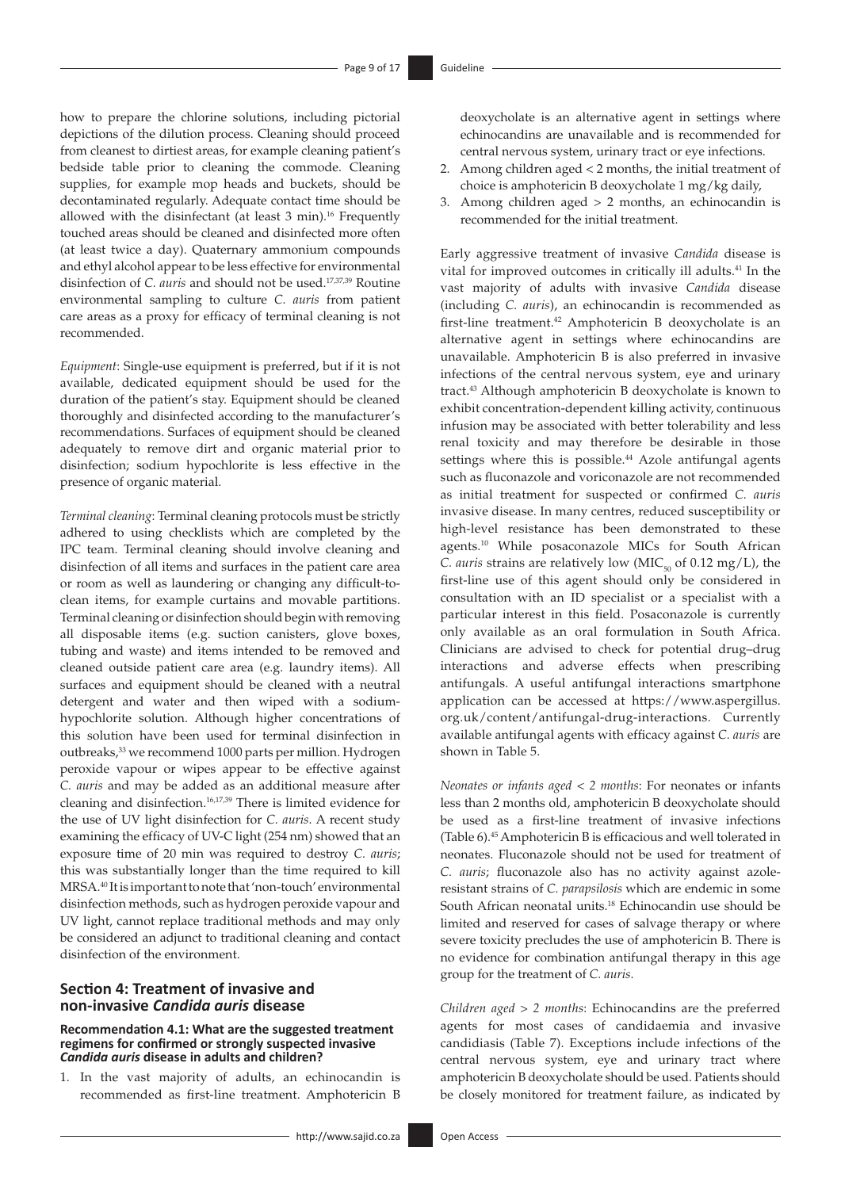how to prepare the chlorine solutions, including pictorial depictions of the dilution process. Cleaning should proceed from cleanest to dirtiest areas, for example cleaning patient's bedside table prior to cleaning the commode. Cleaning supplies, for example mop heads and buckets, should be decontaminated regularly. Adequate contact time should be allowed with the disinfectant (at least  $3$  min).<sup>16</sup> Frequently touched areas should be cleaned and disinfected more often (at least twice a day). Quaternary ammonium compounds and ethyl alcohol appear to be less effective for environmental disinfection of *C. auris* and should not be used[.17](#page-14-15),[37](#page-14-35)[,39](#page-14-37) Routine environmental sampling to culture *C. auris* from patient care areas as a proxy for efficacy of terminal cleaning is not recommended.

*Equipment*: Single-use equipment is preferred, but if it is not available, dedicated equipment should be used for the duration of the patient's stay. Equipment should be cleaned thoroughly and disinfected according to the manufacturer's recommendations. Surfaces of equipment should be cleaned adequately to remove dirt and organic material prior to disinfection; sodium hypochlorite is less effective in the presence of organic material.

*Terminal cleaning*: Terminal cleaning protocols must be strictly adhered to using checklists which are completed by the IPC team. Terminal cleaning should involve cleaning and disinfection of all items and surfaces in the patient care area or room as well as laundering or changing any difficult-toclean items, for example curtains and movable partitions. Terminal cleaning or disinfection should begin with removing all disposable items (e.g. suction canisters, glove boxes, tubing and waste) and items intended to be removed and cleaned outside patient care area (e.g. laundry items). All surfaces and equipment should be cleaned with a neutral detergent and water and then wiped with a sodiumhypochlorite solution. Although higher concentrations of this solution have been used for terminal disinfection in outbreaks[,33](#page-14-31) we recommend 1000 parts per million. Hydrogen peroxide vapour or wipes appear to be effective against *C. auris* and may be added as an additional measure after cleaning and disinfection[.16](#page-14-14),[17](#page-14-15)[,39](#page-14-37) There is limited evidence for the use of UV light disinfection for *C. auris*. A recent study examining the efficacy of UV-C light (254 nm) showed that an exposure time of 20 min was required to destroy *C. auris*; this was substantially longer than the time required to kill MRSA[.40](#page-14-38) It is important to note that 'non-touch' environmental disinfection methods, such as hydrogen peroxide vapour and UV light, cannot replace traditional methods and may only be considered an adjunct to traditional cleaning and contact disinfection of the environment.

## <span id="page-8-0"></span>**Section 4: Treatment of invasive and non-invasive** *Candida auris* **disease**

#### **Recommendation 4.1: What are the suggested treatment regimens for confirmed or strongly suspected invasive**  *Candida auris* **disease in adults and children?**

1. In the vast majority of adults, an echinocandin is recommended as first-line treatment. Amphotericin B deoxycholate is an alternative agent in settings where echinocandins are unavailable and is recommended for central nervous system, urinary tract or eye infections.

- 2. Among children aged < 2 months, the initial treatment of choice is amphotericin B deoxycholate 1 mg/kg daily,
- 3. Among children aged > 2 months, an echinocandin is recommended for the initial treatment.

<span id="page-8-4"></span><span id="page-8-3"></span><span id="page-8-2"></span><span id="page-8-1"></span>Early aggressive treatment of invasive *Candida* disease is vital for improved outcomes in critically ill adults.<sup>41</sup> In the vast majority of adults with invasive *Candida* disease (including *C. auris*), an echinocandin is recommended as first-line treatment[.42](#page-14-40) Amphotericin B deoxycholate is an alternative agent in settings where echinocandins are unavailable. Amphotericin B is also preferred in invasive infections of the central nervous system, eye and urinary tract.[43](#page-14-41) Although amphotericin B deoxycholate is known to exhibit concentration-dependent killing activity, continuous infusion may be associated with better tolerability and less renal toxicity and may therefore be desirable in those settings where this is possible.<sup>[44](#page-14-42)</sup> Azole antifungal agents such as fluconazole and voriconazole are not recommended as initial treatment for suspected or confirmed *C. auris* invasive disease. In many centres, reduced susceptibility or high-level resistance has been demonstrated to these agents[.10](#page-14-8) While posaconazole MICs for South African *C. auris* strains are relatively low ( $\text{MIC}_{50}$  of 0.12 mg/L), the first-line use of this agent should only be considered in consultation with an ID specialist or a specialist with a particular interest in this field. Posaconazole is currently only available as an oral formulation in South Africa. Clinicians are advised to check for potential drug–drug interactions and adverse effects when prescribing antifungals. A useful antifungal interactions smartphone application can be accessed at [https://www.aspergillus.](https://www.aspergillus.org.uk/content/antifungal-drug-interactions) [org.uk/content/antifungal-drug-interactions](https://www.aspergillus.org.uk/content/antifungal-drug-interactions). Currently available antifungal agents with efficacy against *C. auris* are shown in Table 5.

<span id="page-8-5"></span>*Neonates or infants aged < 2 months*: For neonates or infants less than 2 months old, amphotericin B deoxycholate should be used as a first-line treatment of invasive infections (Table 6).[45](#page-14-43) Amphotericin B is efficacious and well tolerated in neonates. Fluconazole should not be used for treatment of *C. auris*; fluconazole also has no activity against azoleresistant strains of *C. parapsilosis* which are endemic in some South African neonatal units[.18](#page-14-16) Echinocandin use should be limited and reserved for cases of salvage therapy or where severe toxicity precludes the use of amphotericin B. There is no evidence for combination antifungal therapy in this age group for the treatment of *C. auris*.

*Children aged > 2 months*: Echinocandins are the preferred agents for most cases of candidaemia and invasive candidiasis (Table 7). Exceptions include infections of the central nervous system, eye and urinary tract where amphotericin B deoxycholate should be used. Patients should be closely monitored for treatment failure, as indicated by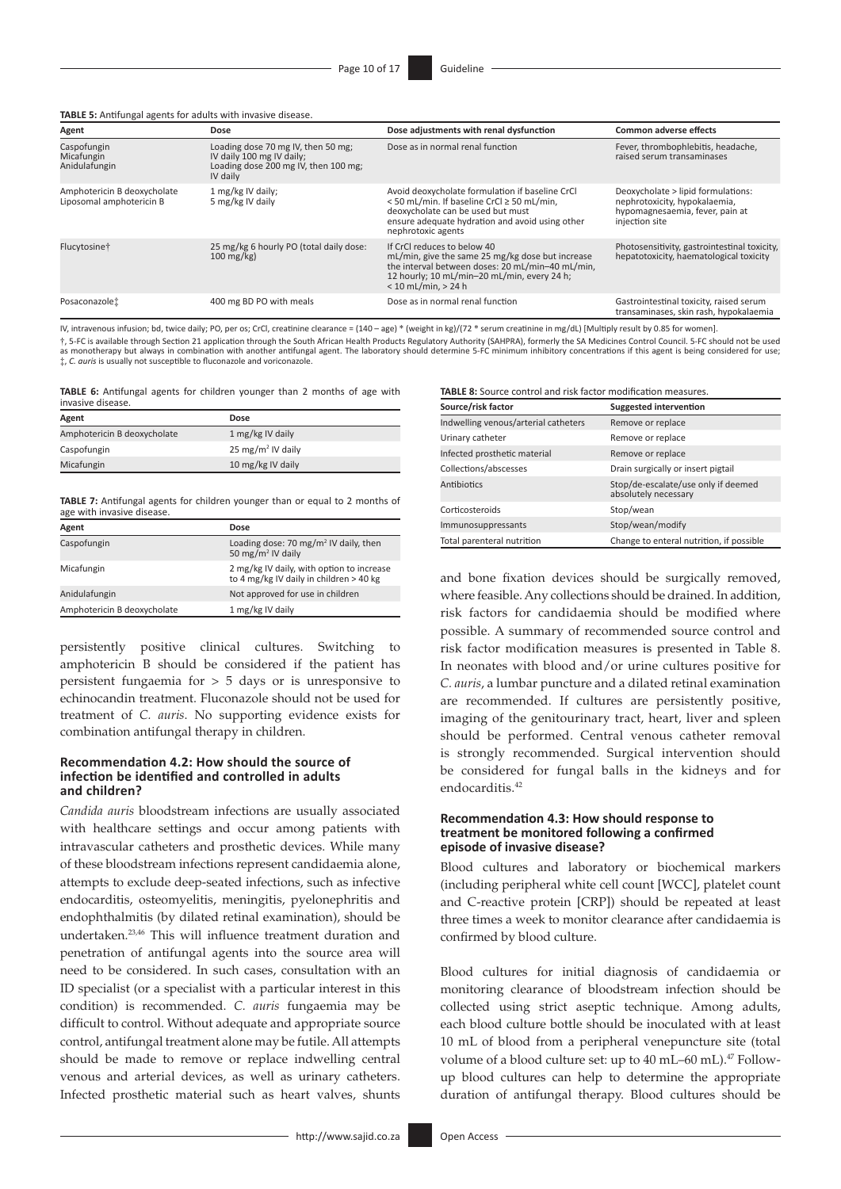**TABLE 5:** Antifungal agents for adults with invasive disease.

| Agent                                                   | Dose                                                                                                                | Dose adjustments with renal dysfunction                                                                                                                                                                       | <b>Common adverse effects</b>                                                                                            |
|---------------------------------------------------------|---------------------------------------------------------------------------------------------------------------------|---------------------------------------------------------------------------------------------------------------------------------------------------------------------------------------------------------------|--------------------------------------------------------------------------------------------------------------------------|
| Caspofungin<br>Micafungin<br>Anidulafungin              | Loading dose 70 mg IV, then 50 mg;<br>IV daily 100 mg IV daily;<br>Loading dose 200 mg IV, then 100 mg;<br>IV daily | Dose as in normal renal function                                                                                                                                                                              | Fever, thrombophlebitis, headache,<br>raised serum transaminases                                                         |
| Amphotericin B deoxycholate<br>Liposomal amphotericin B | 1 mg/kg IV daily;<br>5 mg/kg IV daily                                                                               | Avoid deoxycholate formulation if baseline CrCl<br><50 mL/min. If baseline CrCl ≥ 50 mL/min,<br>deoxycholate can be used but must<br>ensure adequate hydration and avoid using other<br>nephrotoxic agents    | Deoxycholate > lipid formulations:<br>nephrotoxicity, hypokalaemia,<br>hypomagnesaemia, fever, pain at<br>injection site |
| Flucytosine†                                            | 25 mg/kg 6 hourly PO (total daily dose:<br>$100 \text{ mg/kg}$                                                      | If CrCl reduces to below 40<br>mL/min, give the same 25 mg/kg dose but increase<br>the interval between doses: 20 mL/min-40 mL/min,<br>12 hourly; 10 mL/min-20 mL/min, every 24 h;<br>$< 10$ mL/min, $> 24$ h | Photosensitivity, gastrointestinal toxicity,<br>hepatotoxicity, haematological toxicity                                  |
| Posaconazolet                                           | 400 mg BD PO with meals                                                                                             | Dose as in normal renal function                                                                                                                                                                              | Gastrointestinal toxicity, raised serum<br>transaminases, skin rash, hypokalaemia                                        |

IV, intravenous infusion; bd, twice daily; PO, per os; CrCl, creatinine clearance = (140 – age) \* (weight in kg)/(72 \* serum creatinine in mg/dL) [Multiply result by 0.85 for women]. †, 5-FC is available through Section 21 application through the South African Health Products Regulatory Authority (SAHPRA), formerly the SA Medicines Control Council. 5-FC should not be used as monotherapy but always in combination with another antifungal agent. The laboratory should determine 5-FC minimum inhibitory concentrations if this agent is being considered for use;

‡, *C. auris* is usually not susceptible to fluconazole and voriconazole.

**TABLE 6:** Antifungal agents for children younger than 2 months of age with invasive disease.

| Agent                       | Dose                          |
|-----------------------------|-------------------------------|
| Amphotericin B deoxycholate | 1 mg/kg IV daily              |
| Caspofungin                 | 25 mg/m <sup>2</sup> IV daily |
| Micafungin                  | 10 mg/kg IV daily             |

**TABLE 7:** Antifungal agents for children younger than or equal to 2 months of age with invasive disease.

| Agent                       | Dose                                                                                 |
|-----------------------------|--------------------------------------------------------------------------------------|
| Caspofungin                 | Loading dose: 70 mg/m <sup>2</sup> IV daily, then<br>50 mg/m <sup>2</sup> IV daily   |
| Micafungin                  | 2 mg/kg IV daily, with option to increase<br>to 4 mg/kg IV daily in children > 40 kg |
| Anidulafungin               | Not approved for use in children                                                     |
| Amphotericin B deoxycholate | 1 mg/kg IV daily                                                                     |

persistently positive clinical cultures. Switching to amphotericin B should be considered if the patient has persistent fungaemia for > 5 days or is unresponsive to echinocandin treatment. Fluconazole should not be used for treatment of *C. auris*. No supporting evidence exists for combination antifungal therapy in children.

#### **Recommendation 4.2: How should the source of infection be identified and controlled in adults and children?**

<span id="page-9-0"></span>*Candida auris* bloodstream infections are usually associated with healthcare settings and occur among patients with intravascular catheters and prosthetic devices. While many of these bloodstream infections represent candidaemia alone, attempts to exclude deep-seated infections, such as infective endocarditis, osteomyelitis, meningitis, pyelonephritis and endophthalmitis (by dilated retinal examination), should be undertaken.[23](#page-14-21)[,46](#page-14-44) This will influence treatment duration and penetration of antifungal agents into the source area will need to be considered. In such cases, consultation with an ID specialist (or a specialist with a particular interest in this condition) is recommended. *C. auris* fungaemia may be difficult to control. Without adequate and appropriate source control, antifungal treatment alone may be futile. All attempts should be made to remove or replace indwelling central venous and arterial devices, as well as urinary catheters. Infected prosthetic material such as heart valves, shunts

**TABLE 8:** Source control and risk factor modification measures.

| Source/risk factor                   | <b>Suggested intervention</b>                               |  |  |
|--------------------------------------|-------------------------------------------------------------|--|--|
| Indwelling venous/arterial catheters | Remove or replace                                           |  |  |
| Urinary catheter                     | Remove or replace                                           |  |  |
| Infected prosthetic material         | Remove or replace                                           |  |  |
| Collections/abscesses                | Drain surgically or insert pigtail                          |  |  |
| Antibiotics                          | Stop/de-escalate/use only if deemed<br>absolutely necessary |  |  |
| Corticosteroids                      | Stop/wean                                                   |  |  |
| Immunosuppressants                   | Stop/wean/modify                                            |  |  |
| Total parenteral nutrition           | Change to enteral nutrition, if possible                    |  |  |

and bone fixation devices should be surgically removed, where feasible. Any collections should be drained. In addition, risk factors for candidaemia should be modified where possible. A summary of recommended source control and risk factor modification measures is presented in Table 8. In neonates with blood and/or urine cultures positive for *C. auris*, a lumbar puncture and a dilated retinal examination are recommended. If cultures are persistently positive, imaging of the genitourinary tract, heart, liver and spleen should be performed. Central venous catheter removal is strongly recommended. Surgical intervention should be considered for fungal balls in the kidneys and for endocarditis.<sup>[42](#page-14-40)</sup>

#### **Recommendation 4.3: How should response to treatment be monitored following a confirmed episode of invasive disease?**

Blood cultures and laboratory or biochemical markers (including peripheral white cell count [WCC], platelet count and C-reactive protein [CRP]) should be repeated at least three times a week to monitor clearance after candidaemia is confirmed by blood culture.

<span id="page-9-1"></span>Blood cultures for initial diagnosis of candidaemia or monitoring clearance of bloodstream infection should be collected using strict aseptic technique. Among adults, each blood culture bottle should be inoculated with at least 10 mL of blood from a peripheral venepuncture site (total volume of a blood culture set: up to 40 mL-60 mL).<sup>47</sup> Followup blood cultures can help to determine the appropriate duration of antifungal therapy. Blood cultures should be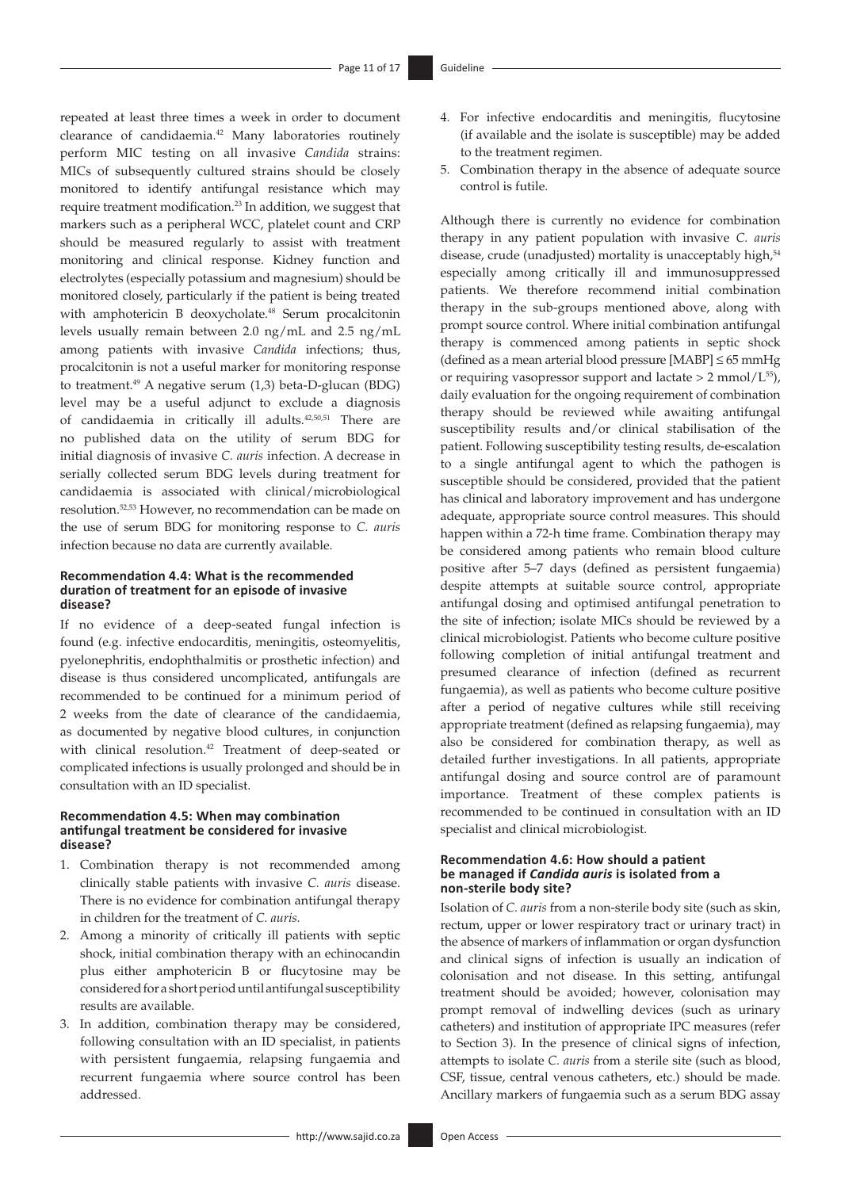<span id="page-10-0"></span>repeated at least three times a week in order to document clearance of candidaemia[.42](#page-14-40) Many laboratories routinely perform MIC testing on all invasive *Candida* strains: MICs of subsequently cultured strains should be closely monitored to identify antifungal resistance which may require treatment modification[.23](#page-14-21) In addition, we suggest that markers such as a peripheral WCC, platelet count and CRP should be measured regularly to assist with treatment monitoring and clinical response. Kidney function and electrolytes (especially potassium and magnesium) should be monitored closely, particularly if the patient is being treated with amphotericin B deoxycholate.<sup>[48](#page-14-46)</sup> Serum procalcitonin levels usually remain between 2.0 ng/mL and 2.5 ng/mL among patients with invasive *Candida* infections; thus, procalcitonin is not a useful marker for monitoring response to treatment[.49](#page-14-47) A negative serum (1,3) beta-D-glucan (BDG) level may be a useful adjunct to exclude a diagnosis of candidaemia in critically ill adults.[42,](#page-14-40)[50](#page-15-1),[51](#page-15-2) There are no published data on the utility of serum BDG for initial diagnosis of invasive *C. auris* infection. A decrease in serially collected serum BDG levels during treatment for candidaemia is associated with clinical/microbiological resolution.[52](#page-15-3)[,53](#page-15-4) However, no recommendation can be made on the use of serum BDG for monitoring response to *C. auris* infection because no data are currently available.

## <span id="page-10-5"></span><span id="page-10-4"></span><span id="page-10-1"></span>**Recommendation 4.4: What is the recommended duration of treatment for an episode of invasive disease?**

If no evidence of a deep-seated fungal infection is found (e.g. infective endocarditis, meningitis, osteomyelitis, pyelonephritis, endophthalmitis or prosthetic infection) and disease is thus considered uncomplicated, antifungals are recommended to be continued for a minimum period of 2 weeks from the date of clearance of the candidaemia, as documented by negative blood cultures, in conjunction with clinical resolution[.42](#page-14-40) Treatment of deep-seated or complicated infections is usually prolonged and should be in consultation with an ID specialist.

## **Recommendation 4.5: When may combination antifungal treatment be considered for invasive disease?**

- 1. Combination therapy is not recommended among clinically stable patients with invasive *C. auris* disease. There is no evidence for combination antifungal therapy in children for the treatment of *C. auris*.
- 2. Among a minority of critically ill patients with septic shock, initial combination therapy with an echinocandin plus either amphotericin B or flucytosine may be considered for a short period until antifungal susceptibility results are available.
- 3. In addition, combination therapy may be considered, following consultation with an ID specialist, in patients with persistent fungaemia, relapsing fungaemia and recurrent fungaemia where source control has been addressed.
- 4. For infective endocarditis and meningitis, flucytosine (if available and the isolate is susceptible) may be added to the treatment regimen.
- 5. Combination therapy in the absence of adequate source control is futile.

<span id="page-10-7"></span><span id="page-10-6"></span><span id="page-10-3"></span><span id="page-10-2"></span>Although there is currently no evidence for combination therapy in any patient population with invasive *C. auris*  disease, crude (unadjusted) mortality is unacceptably high,<sup>[54](#page-15-5)</sup> especially among critically ill and immunosuppressed patients. We therefore recommend initial combination therapy in the sub-groups mentioned above, along with prompt source control. Where initial combination antifungal therapy is commenced among patients in septic shock (defined as a mean arterial blood pressure [MABP]  $\leq 65$  mmHg or requiring vasopressor support and lactate  $> 2$  mmol/L<sup>55</sup>), daily evaluation for the ongoing requirement of combination therapy should be reviewed while awaiting antifungal susceptibility results and/or clinical stabilisation of the patient. Following susceptibility testing results, de-escalation to a single antifungal agent to which the pathogen is susceptible should be considered, provided that the patient has clinical and laboratory improvement and has undergone adequate, appropriate source control measures. This should happen within a 72-h time frame. Combination therapy may be considered among patients who remain blood culture positive after 5–7 days (defined as persistent fungaemia) despite attempts at suitable source control, appropriate antifungal dosing and optimised antifungal penetration to the site of infection; isolate MICs should be reviewed by a clinical microbiologist. Patients who become culture positive following completion of initial antifungal treatment and presumed clearance of infection (defined as recurrent fungaemia), as well as patients who become culture positive after a period of negative cultures while still receiving appropriate treatment (defined as relapsing fungaemia), may also be considered for combination therapy, as well as detailed further investigations. In all patients, appropriate antifungal dosing and source control are of paramount importance. Treatment of these complex patients is recommended to be continued in consultation with an ID specialist and clinical microbiologist.

### **Recommendation 4.6: How should a patient be managed if** *Candida auris* **is isolated from a non-sterile body site?**

Isolation of *C. auris* from a non-sterile body site (such as skin, rectum, upper or lower respiratory tract or urinary tract) in the absence of markers of inflammation or organ dysfunction and clinical signs of infection is usually an indication of colonisation and not disease. In this setting, antifungal treatment should be avoided; however, colonisation may prompt removal of indwelling devices (such as urinary catheters) and institution of appropriate IPC measures (refer to Section 3). In the presence of clinical signs of infection, attempts to isolate *C. auris* from a sterile site (such as blood, CSF, tissue, central venous catheters, etc.) should be made. Ancillary markers of fungaemia such as a serum BDG assay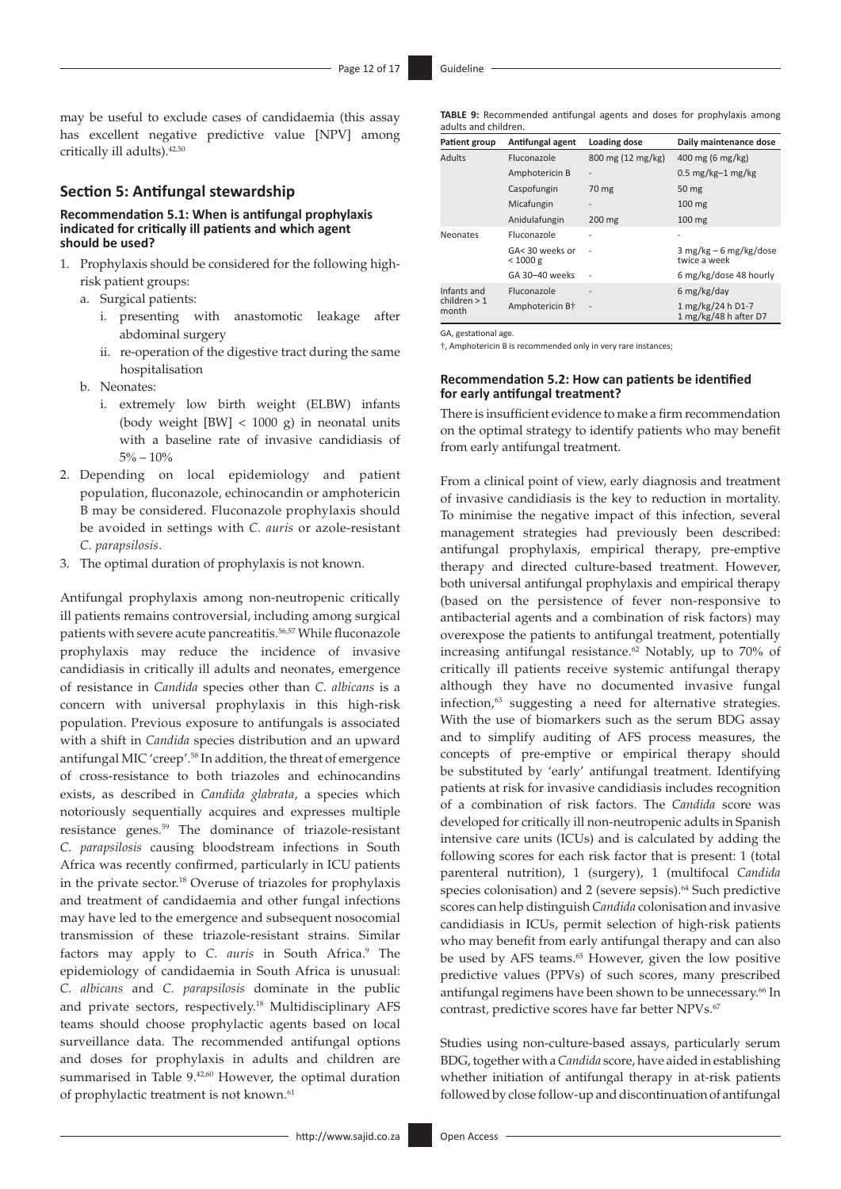may be useful to exclude cases of candidaemia (this assay has excellent negative predictive value [NPV] among critically ill adults)[.42,](#page-14-40)[50](#page-15-1)

## **Section 5: Antifungal stewardship**

#### **Recommendation 5.1: When is antifungal prophylaxis indicated for critically ill patients and which agent should be used?**

- 1. Prophylaxis should be considered for the following highrisk patient groups:
	- a. Surgical patients:
		- i. presenting with anastomotic leakage after abdominal surgery
		- ii. re-operation of the digestive tract during the same hospitalisation
	- b. Neonates:
		- i. extremely low birth weight (ELBW) infants (body weight [BW] < 1000 g) in neonatal units with a baseline rate of invasive candidiasis of  $5\% - 10\%$
- 2. Depending on local epidemiology and patient population, fluconazole, echinocandin or amphotericin B may be considered. Fluconazole prophylaxis should be avoided in settings with *C. auris* or azole-resistant *C. parapsilosis*.
- 3. The optimal duration of prophylaxis is not known.

<span id="page-11-3"></span><span id="page-11-2"></span><span id="page-11-0"></span>Antifungal prophylaxis among non-neutropenic critically ill patients remains controversial, including among surgical patients with severe acute pancreatitis.<sup>56,[57](#page-15-8)</sup> While fluconazole prophylaxis may reduce the incidence of invasive candidiasis in critically ill adults and neonates, emergence of resistance in *Candida* species other than *C. albicans* is a concern with universal prophylaxis in this high-risk population. Previous exposure to antifungals is associated with a shift in *Candida* species distribution and an upward antifungal MIC 'creep'[.58](#page-15-9) In addition, the threat of emergence of cross-resistance to both triazoles and echinocandins exists, as described in *Candida glabrata*, a species which notoriously sequentially acquires and expresses multiple resistance genes.[59](#page-15-10) The dominance of triazole-resistant *C. parapsilosis* causing bloodstream infections in South Africa was recently confirmed, particularly in ICU patients in the private sector.[18](#page-14-16) Overuse of triazoles for prophylaxis and treatment of candidaemia and other fungal infections may have led to the emergence and subsequent nosocomial transmission of these triazole-resistant strains. Similar factors may apply to *C. auris* in South Africa.<sup>[9](#page-14-7)</sup> The epidemiology of candidaemia in South Africa is unusual: *C. albicans* and *C. parapsilosis* dominate in the public and private sectors, respectively[.18](#page-14-16) Multidisciplinary AFS teams should choose prophylactic agents based on local surveillance data. The recommended antifungal options and doses for prophylaxis in adults and children are summarised in Table 9.<sup>42,[60](#page-15-11)</sup> However, the optimal duration of prophylactic treatment is not known.<sup>61</sup>

**TABLE 9:** Recommended antifungal agents and doses for prophylaxis among adults and children.

| Patient group           | Antifungal agent            | Loading dose      | Daily maintenance dose                     |
|-------------------------|-----------------------------|-------------------|--------------------------------------------|
| <b>Adults</b>           | <b>Fluconazole</b>          | 800 mg (12 mg/kg) | 400 mg (6 mg/kg)                           |
|                         | Amphotericin B              |                   | $0.5$ mg/kg-1 mg/kg                        |
|                         | Caspofungin                 | 70 mg             | 50 mg                                      |
|                         | Micafungin                  |                   | $100$ mg                                   |
|                         | Anidulafungin               | $200$ mg          | $100$ mg                                   |
| Neonates                | Fluconazole                 |                   |                                            |
|                         | GA< 30 weeks or<br>< 1000 g |                   | $3 mg/kg - 6 mg/kg/dose$<br>twice a week   |
|                         | GA 30-40 weeks              |                   | 6 mg/kg/dose 48 hourly                     |
| Infants and             | Fluconazole                 | $\overline{a}$    | 6 mg/kg/day                                |
| children $> 1$<br>month | Amphotericin B <sup>+</sup> | $\overline{a}$    | 1 mg/kg/24 h D1-7<br>1 mg/kg/48 h after D7 |

GA, gestational age.

†, Amphotericin B is recommended only in very rare instances;

#### **Recommendation 5.2: How can patients be identified for early antifungal treatment?**

There is insufficient evidence to make a firm recommendation on the optimal strategy to identify patients who may benefit from early antifungal treatment.

<span id="page-11-7"></span><span id="page-11-6"></span><span id="page-11-1"></span>From a clinical point of view, early diagnosis and treatment of invasive candidiasis is the key to reduction in mortality. To minimise the negative impact of this infection, several management strategies had previously been described: antifungal prophylaxis, empirical therapy, pre-emptive therapy and directed culture-based treatment. However, both universal antifungal prophylaxis and empirical therapy (based on the persistence of fever non-responsive to antibacterial agents and a combination of risk factors) may overexpose the patients to antifungal treatment, potentially increasing antifungal resistance[.62](#page-15-13) Notably, up to 70% of critically ill patients receive systemic antifungal therapy although they have no documented invasive fungal infection, $63$  suggesting a need for alternative strategies. With the use of biomarkers such as the serum BDG assay and to simplify auditing of AFS process measures, the concepts of pre-emptive or empirical therapy should be substituted by 'early' antifungal treatment. Identifying patients at risk for invasive candidiasis includes recognition of a combination of risk factors. The *Candida* score was developed for critically ill non-neutropenic adults in Spanish intensive care units (ICUs) and is calculated by adding the following scores for each risk factor that is present: 1 (total parenteral nutrition), 1 (surgery), 1 (multifocal *Candida* species colonisation) and 2 (severe sepsis).<sup>64</sup> Such predictive scores can help distinguish *Candida* colonisation and invasive candidiasis in ICUs, permit selection of high-risk patients who may benefit from early antifungal therapy and can also be used by AFS teams.<sup>[65](#page-15-16)</sup> However, given the low positive predictive values (PPVs) of such scores, many prescribed antifungal regimens have been shown to be unnecessary.<sup>66</sup> In contrast, predictive scores have far better NPVs.<sup>[67](#page-15-18)</sup>

<span id="page-11-11"></span><span id="page-11-10"></span><span id="page-11-9"></span><span id="page-11-8"></span><span id="page-11-5"></span><span id="page-11-4"></span>Studies using non-culture-based assays, particularly serum BDG, together with a *Candida* score, have aided in establishing whether initiation of antifungal therapy in at-risk patients followed by close follow-up and discontinuation of antifungal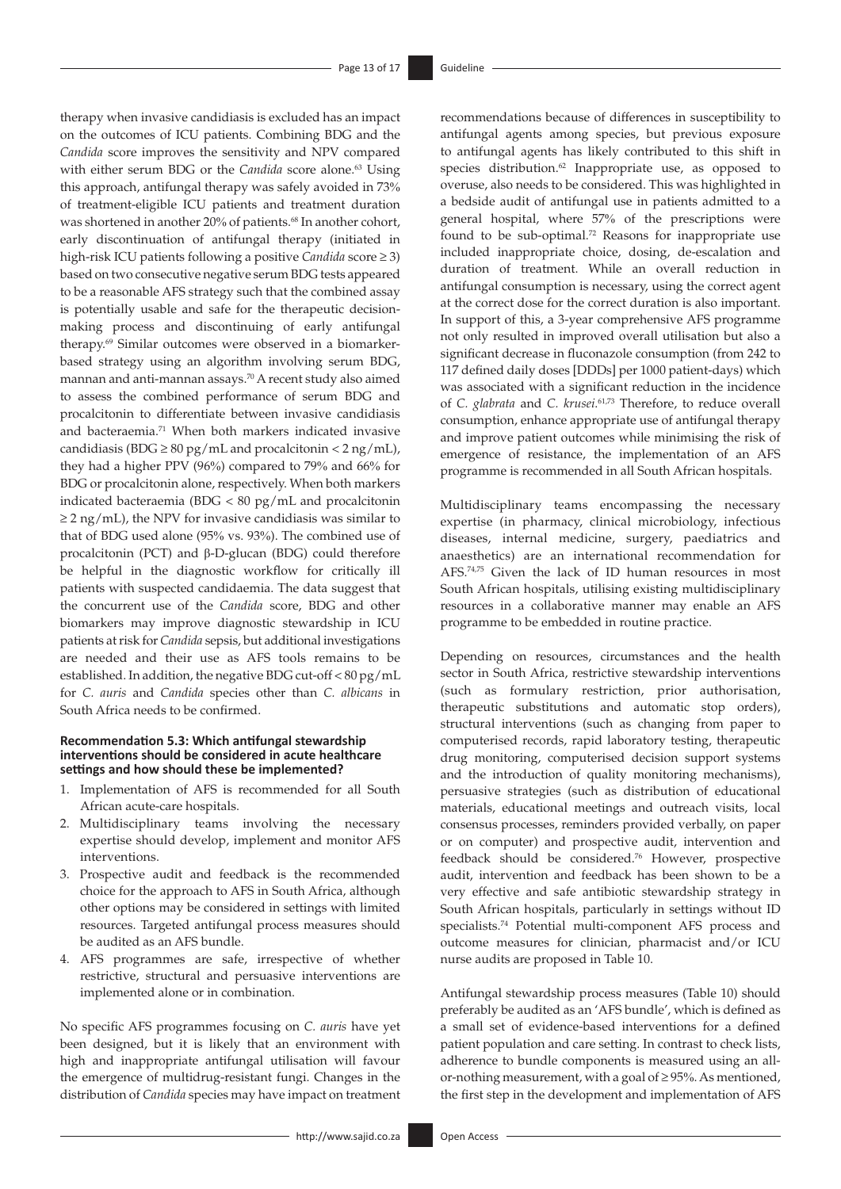<span id="page-12-3"></span><span id="page-12-2"></span><span id="page-12-1"></span>therapy when invasive candidiasis is excluded has an impact on the outcomes of ICU patients. Combining BDG and the *Candida* score improves the sensitivity and NPV compared with either serum BDG or the *Candida* score alone.<sup>63</sup> Using this approach, antifungal therapy was safely avoided in 73% of treatment-eligible ICU patients and treatment duration was shortened in another 20% of patients.<sup>68</sup> In another cohort, early discontinuation of antifungal therapy (initiated in high-risk ICU patients following a positive *Candida* score ≥ 3) based on two consecutive negative serum BDG tests appeared to be a reasonable AFS strategy such that the combined assay is potentially usable and safe for the therapeutic decisionmaking process and discontinuing of early antifungal therapy.[69](#page-15-20) Similar outcomes were observed in a biomarkerbased strategy using an algorithm involving serum BDG, mannan and anti-mannan assays.[70](#page-15-21) A recent study also aimed to assess the combined performance of serum BDG and procalcitonin to differentiate between invasive candidiasis and bacteraemia[.71](#page-15-22) When both markers indicated invasive candidiasis (BDG  $\geq$  80 pg/mL and procalcitonin < 2 ng/mL), they had a higher PPV (96%) compared to 79% and 66% for BDG or procalcitonin alone, respectively. When both markers indicated bacteraemia (BDG < 80 pg/mL and procalcitonin  $\geq$  2 ng/mL), the NPV for invasive candidiasis was similar to that of BDG used alone (95% vs. 93%). The combined use of procalcitonin (PCT) and β-D-glucan (BDG) could therefore be helpful in the diagnostic workflow for critically ill patients with suspected candidaemia. The data suggest that the concurrent use of the *Candida* score, BDG and other biomarkers may improve diagnostic stewardship in ICU patients at risk for *Candida* sepsis, but additional investigations are needed and their use as AFS tools remains to be established. In addition, the negative BDG cut-off < 80 pg/mL for *C. auris* and *Candida* species other than *C. albicans* in South Africa needs to be confirmed.

#### **Recommendation 5.3: Which antifungal stewardship interventions should be considered in acute healthcare settings and how should these be implemented?**

- 1. Implementation of AFS is recommended for all South African acute-care hospitals.
- 2. Multidisciplinary teams involving the necessary expertise should develop, implement and monitor AFS interventions.
- 3. Prospective audit and feedback is the recommended choice for the approach to AFS in South Africa, although other options may be considered in settings with limited resources. Targeted antifungal process measures should be audited as an AFS bundle.
- 4. AFS programmes are safe, irrespective of whether restrictive, structural and persuasive interventions are implemented alone or in combination.

No specific AFS programmes focusing on *C. auris* have yet been designed, but it is likely that an environment with high and inappropriate antifungal utilisation will favour the emergence of multidrug-resistant fungi. Changes in the distribution of *Candida* species may have impact on treatment <span id="page-12-4"></span><span id="page-12-0"></span>recommendations because of differences in susceptibility to antifungal agents among species, but previous exposure to antifungal agents has likely contributed to this shift in species distribution.<sup>62</sup> Inappropriate use, as opposed to overuse, also needs to be considered. This was highlighted in a bedside audit of antifungal use in patients admitted to a general hospital, where 57% of the prescriptions were found to be sub-optimal.[72](#page-15-23) Reasons for inappropriate use included inappropriate choice, dosing, de-escalation and duration of treatment. While an overall reduction in antifungal consumption is necessary, using the correct agent at the correct dose for the correct duration is also important. In support of this, a 3-year comprehensive AFS programme not only resulted in improved overall utilisation but also a significant decrease in fluconazole consumption (from 242 to 117 defined daily doses [DDDs] per 1000 patient-days) which was associated with a significant reduction in the incidence of *C. glabrata* and *C. krusei*. [61,](#page-15-12)[73](#page-15-24) Therefore, to reduce overall consumption, enhance appropriate use of antifungal therapy and improve patient outcomes while minimising the risk of emergence of resistance, the implementation of an AFS programme is recommended in all South African hospitals.

<span id="page-12-7"></span><span id="page-12-6"></span><span id="page-12-5"></span>Multidisciplinary teams encompassing the necessary expertise (in pharmacy, clinical microbiology, infectious diseases, internal medicine, surgery, paediatrics and anaesthetics) are an international recommendation for AFS.[74](#page-15-25),[75](#page-15-26) Given the lack of ID human resources in most South African hospitals, utilising existing multidisciplinary resources in a collaborative manner may enable an AFS programme to be embedded in routine practice.

Depending on resources, circumstances and the health sector in South Africa, restrictive stewardship interventions (such as formulary restriction, prior authorisation, therapeutic substitutions and automatic stop orders), structural interventions (such as changing from paper to computerised records, rapid laboratory testing, therapeutic drug monitoring, computerised decision support systems and the introduction of quality monitoring mechanisms), persuasive strategies (such as distribution of educational materials, educational meetings and outreach visits, local consensus processes, reminders provided verbally, on paper or on computer) and prospective audit, intervention and feedback should be considered.[76](#page-15-27) However, prospective audit, intervention and feedback has been shown to be a very effective and safe antibiotic stewardship strategy in South African hospitals, particularly in settings without ID specialists.[74](#page-15-25) Potential multi-component AFS process and outcome measures for clinician, pharmacist and/or ICU nurse audits are proposed in Table 10.

<span id="page-12-8"></span>Antifungal stewardship process measures (Table 10) should preferably be audited as an 'AFS bundle', which is defined as a small set of evidence-based interventions for a defined patient population and care setting. In contrast to check lists, adherence to bundle components is measured using an allor-nothing measurement, with a goal of ≥ 95%. As mentioned, the first step in the development and implementation of AFS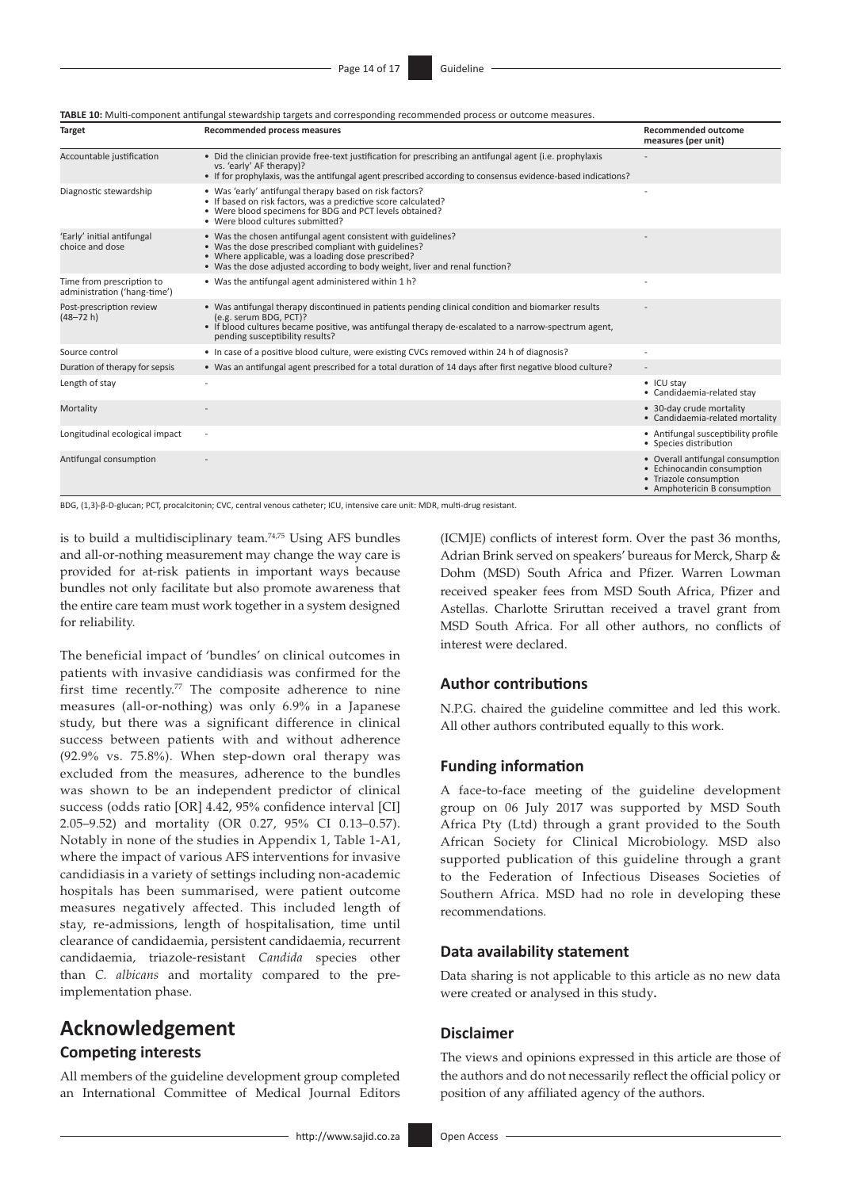|  | TABLE 10: Multi-component antifungal stewardship targets and corresponding recommended process or outcome measures. |
|--|---------------------------------------------------------------------------------------------------------------------|
|--|---------------------------------------------------------------------------------------------------------------------|

| <b>Target</b>                                             | Recommended process measures                                                                                                                                                                                                                                            | <b>Recommended outcome</b><br>measures (per unit)                                                                        |
|-----------------------------------------------------------|-------------------------------------------------------------------------------------------------------------------------------------------------------------------------------------------------------------------------------------------------------------------------|--------------------------------------------------------------------------------------------------------------------------|
| Accountable justification                                 | • Did the clinician provide free-text justification for prescribing an antifungal agent (i.e. prophylaxis<br>vs. 'early' AF therapy)?<br>• If for prophylaxis, was the antifungal agent prescribed according to consensus evidence-based indications?                   |                                                                                                                          |
| Diagnostic stewardship                                    | • Was 'early' antifungal therapy based on risk factors?<br>· If based on risk factors, was a predictive score calculated?<br>• Were blood specimens for BDG and PCT levels obtained?<br>• Were blood cultures submitted?                                                |                                                                                                                          |
| 'Early' initial antifungal<br>choice and dose             | • Was the chosen antifungal agent consistent with guidelines?<br>• Was the dose prescribed compliant with guidelines?<br>• Where applicable, was a loading dose prescribed?<br>• Was the dose adjusted according to body weight, liver and renal function?              |                                                                                                                          |
| Time from prescription to<br>administration ('hang-time') | • Was the antifungal agent administered within 1 h?                                                                                                                                                                                                                     |                                                                                                                          |
| Post-prescription review<br>$(48 - 72 h)$                 | • Was antifungal therapy discontinued in patients pending clinical condition and biomarker results<br>(e.g. serum BDG, PCT)?<br>• If blood cultures became positive, was antifungal therapy de-escalated to a narrow-spectrum agent,<br>pending susceptibility results? |                                                                                                                          |
| Source control                                            | • In case of a positive blood culture, were existing CVCs removed within 24 h of diagnosis?                                                                                                                                                                             |                                                                                                                          |
| Duration of therapy for sepsis                            | • Was an antifungal agent prescribed for a total duration of 14 days after first negative blood culture?                                                                                                                                                                |                                                                                                                          |
| Length of stay                                            |                                                                                                                                                                                                                                                                         | • ICU stay<br>• Candidaemia-related stav                                                                                 |
| Mortality                                                 |                                                                                                                                                                                                                                                                         | • 30-day crude mortality<br>• Candidaemia-related mortality                                                              |
| Longitudinal ecological impact                            | $\overline{a}$                                                                                                                                                                                                                                                          | • Antifungal susceptibility profile<br>• Species distribution                                                            |
| Antifungal consumption                                    |                                                                                                                                                                                                                                                                         | • Overall antifungal consumption<br>• Echinocandin consumption<br>• Triazole consumption<br>• Amphotericin B consumption |

BDG, (1,3)-β-D-glucan; PCT, procalcitonin; CVC, central venous catheter; ICU, intensive care unit: MDR, multi-drug resistant.

is to build a multidisciplinary team.[74](#page-15-25)[,75](#page-15-26) Using AFS bundles and all-or-nothing measurement may change the way care is provided for at-risk patients in important ways because bundles not only facilitate but also promote awareness that the entire care team must work together in a system designed for reliability.

<span id="page-13-0"></span>The beneficial impact of 'bundles' on clinical outcomes in patients with invasive candidiasis was confirmed for the first time recently.[77](#page-15-28) The composite adherence to nine measures (all-or-nothing) was only 6.9% in a Japanese study, but there was a significant difference in clinical success between patients with and without adherence (92.9% vs. 75.8%). When step-down oral therapy was excluded from the measures, adherence to the bundles was shown to be an independent predictor of clinical success (odds ratio [OR] 4.42, 95% confidence interval [CI] 2.05–9.52) and mortality (OR 0.27, 95% CI 0.13–0.57). Notably in none of the studies in Appendix 1, Table 1-A1, where the impact of various AFS interventions for invasive candidiasis in a variety of settings including non-academic hospitals has been summarised, were patient outcome measures negatively affected. This included length of stay, re-admissions, length of hospitalisation, time until clearance of candidaemia, persistent candidaemia, recurrent candidaemia, triazole-resistant *Candida* species other than *C. albicans* and mortality compared to the preimplementation phase.

## **Acknowledgement**

## **Competing interests**

All members of the guideline development group completed an International Committee of Medical Journal Editors

<http://www.sajid.co.za> Open Access

(ICMJE) conflicts of interest form. Over the past 36 months, Adrian Brink served on speakers' bureaus for Merck, Sharp & Dohm (MSD) South Africa and Pfizer. Warren Lowman received speaker fees from MSD South Africa, Pfizer and Astellas. Charlotte Sriruttan received a travel grant from MSD South Africa. For all other authors, no conflicts of interest were declared.

## **Author contributions**

N.P.G. chaired the guideline committee and led this work. All other authors contributed equally to this work.

## **Funding information**

A face-to-face meeting of the guideline development group on 06 July 2017 was supported by MSD South Africa Pty (Ltd) through a grant provided to the South African Society for Clinical Microbiology. MSD also supported publication of this guideline through a grant to the Federation of Infectious Diseases Societies of Southern Africa. MSD had no role in developing these recommendations.

## **Data availability statement**

Data sharing is not applicable to this article as no new data were created or analysed in this study**.**

## **Disclaimer**

The views and opinions expressed in this article are those of the authors and do not necessarily reflect the official policy or position of any affiliated agency of the authors.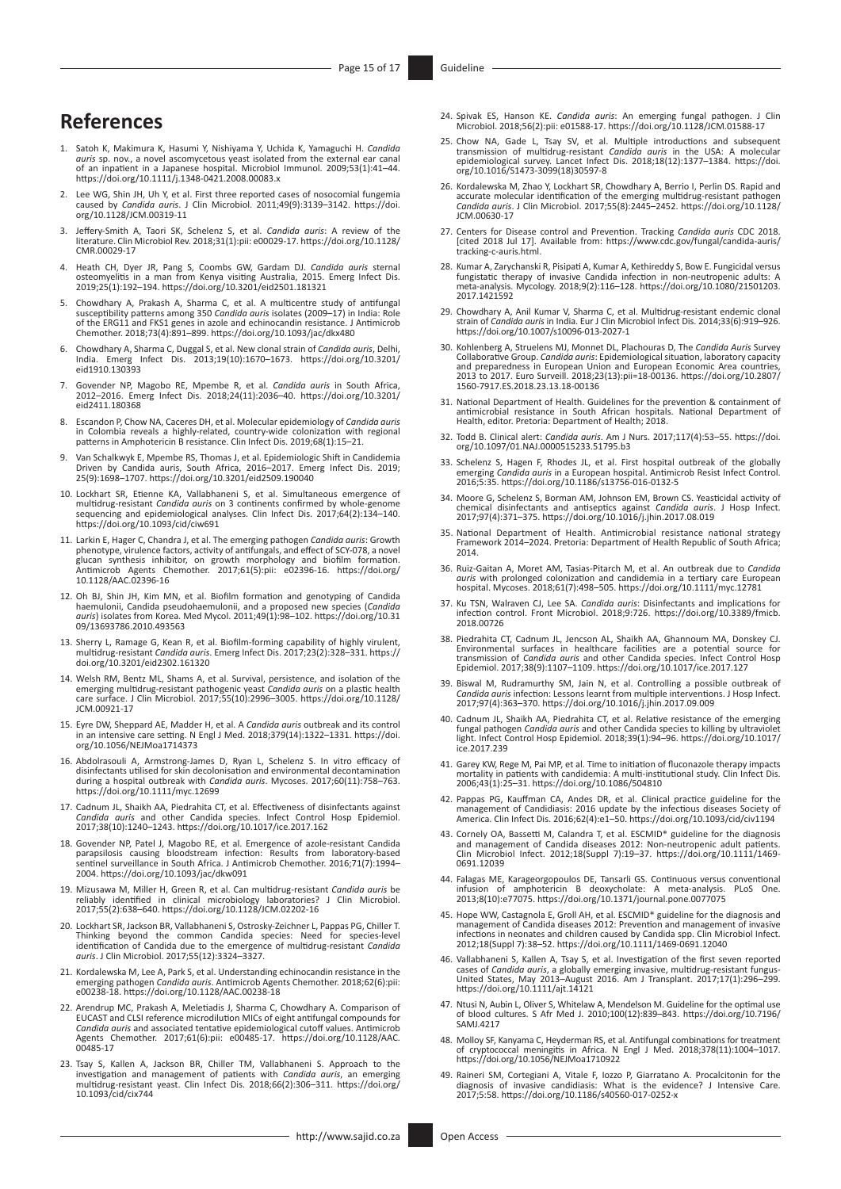## **References**

- [1.](#page-0-0) Satoh K, Makimura K, Hasumi Y, Nishiyama Y, Uchida K, Yamaguchi H. Candida<br>auris sp. nov., a novel ascomycetous yeast isolated from the external ear canal<br>of an inpatient in a Japanese hospital. Microbiol Immunol. 2009; <https://doi.org/10.1111/j.1348-0421.2008.00083.x>
- <span id="page-14-0"></span>[2.](#page-0-1) Lee WG, Shin JH, Uh Y, et al. First three reported cases of nosocomial fungemia caused by *Candida auris*. J Clin Microbiol. 2011;49(9):3139–3142. [https://doi.](https://doi.org/10.1128/JCM.00319-11) [org/10.1128/JCM.00319-11](https://doi.org/10.1128/JCM.00319-11)
- <span id="page-14-1"></span>[3.](#page-0-2) Jeffery-Smith A, Taori SK, Schelenz S, et al. *Candida auris*: A review of the literature. Clin Microbiol Rev. 2018;31(1):pii: e00029-17. [https://doi.org/10.1128/](https://doi.org/10.1128/CMR.00029-17) [CMR.00029-17](https://doi.org/10.1128/CMR.00029-17)
- <span id="page-14-2"></span>[4.](#page-0-3) Heath CH, Dyer JR, Pang S, Coombs GW, Gardam DJ. *Candida auris* sternal osteomyelitis in a man from Kenya visiting Australia, 2015. Emerg Infect Dis. 2019;25(1):192–194. <https://doi.org/10.3201/eid2501.181321>
- <span id="page-14-3"></span>[5.](#page-0-4) Chowdhary A, Prakash A, Sharma C, et al. A multicentre study of antifungal susceptibility patterns among 350 *Candida auris* isolates (2009–17) in India: Role<br>of the ERG11 and FKS1 genes in azole and echinocandin resistance. J Antimicrob<br>Chemother. 2018;73(4):891–899. https://doi.org/10.1093/jac/
- <span id="page-14-4"></span>[6.](#page-0-5) Chowdhary A, Sharma C, Duggal S, et al. New clonal strain of *Candida auris*, Delhi, India. Emerg Infect Dis. 2013;19(10):1670–1673. [https://doi.org/10.3201/](https://doi.org/10.3201/eid1910.130393) [eid1910.130393](https://doi.org/10.3201/eid1910.130393)
- <span id="page-14-5"></span>[7.](#page-0-6) Govender NP, Magobo RE, Mpembe R, et al. *Candida auris* in South Africa, 2012–2016. Emerg Infect Dis. 2018;24(11):2036–40. [https://doi.org/10.3201/](https://doi.org/10.3201/eid2411.180368) [eid2411.180368](https://doi.org/10.3201/eid2411.180368)
- <span id="page-14-6"></span>[8.](#page-0-7) Escandon P, Chow NA, Caceres DH, et al. Molecular epidemiology of *Candida auris* in Colombia reveals a highly-related, country-wide colonization with regional patterns in Amphotericin B resistance. Clin Infect Dis. 2019;68(1):15–21.
- <span id="page-14-7"></span>[9.](#page-0-8) Van Schalkwyk E, Mpembe RS, Thomas J, et al. Epidemiologic Shift in Candidemia<br>Driven by Candida auris, South Africa, 2016–2017. Emerg Infect Dis. 2019;<br>25(9):1698–1707. <https://doi.org/10.3201/eid2509.190040>
- <span id="page-14-8"></span>[10.](#page-0-9) Lockhart SR, Etienne KA, Vallabhaneni S, et al. Simultaneous emergence of multidrug-resistant *Candida auris* on 3 continents confirmed by whole-genome sequencing and epidemiological analyses. Clin Infect Dis. 2017;64(2):134–140. <https://doi.org/10.1093/cid/ciw691>
- <span id="page-14-9"></span>[11.](#page-0-10) Larkin E, Hager C, Chandra J, et al. The emerging pathogen *Candida auris*: Growth phenotype, virulence factors, activity of antifungals, and effect of SCY-078, a novel<br>glucan synthesis inhibitor, on growth morphology and biofilm formation.<br>Antimicrob Agents Chemother. 2017;61(5):pi Antimicrob Agents Ch<br>[10.1128/AAC.02396-16](https://doi.org/10.1128/AAC.02396-16)
- <span id="page-14-10"></span>[12.](#page-0-11) Oh BJ, Shin JH, Kim MN, et al. Biofilm formation and genotyping of Candida<br>haemulonii, Candida pseudohaemulonii, and a proposed new species (Candida<br>auris) isolates from Korea. Med Mycol. 2011;49(1):98–102. https://doi [09/13693786.2010.493563](https://doi.org/10.3109/13693786.2010.493563)
- <span id="page-14-11"></span>[13.](#page-0-12) Sherry L, Ramage G, Kean R, et al. Biofilm-forming capability of highly virulent, multidrug-resistant *Candida auris*. Emerg Infect Dis. 2017;23(2):328–331. [https://](https://doi.org/10.3201/eid2302.161320) [doi.org/10.3201/eid2302.161320](https://doi.org/10.3201/eid2302.161320)
- <span id="page-14-12"></span>[14.](#page-1-0) Welsh RM, Bentz ML, Shams A, et al. Survival, persistence, and isolation of the<br>energing multidrug-resistant pathogenic yeast Candida auris on a plastic health<br>care surface. J Clin Microbiol. 2017;55(10):2996–3005. htt [JCM.00921-17](https://doi.org/10.1128/JCM.00921-17)
- <span id="page-14-13"></span>[15.](#page-1-1) Eyre DW, Sheppard AE, Madder H, et al. A *Candida auris* outbreak and its control in an intensive care setting. N Engl J Med. 2018;379(14):1322–1331. [https://doi.](https://doi.org/10.1056/NEJMoa1714373) [org/10.1056/NEJMoa1714373](https://doi.org/10.1056/NEJMoa1714373)
- <span id="page-14-14"></span>[16.](#page-1-2) Abdolrasouli A, Armstrong-James D, Ryan L, Schelenz S. In vitro efficacy of disinfectants utilised for skin decolonisation and environmental decontamination during a hospital outbreak with Candida auris. Mycoses. 2017; <https://doi.org/10.1111/myc.12699>
- <span id="page-14-15"></span>[17.](#page-1-3) Cadnum JL, Shaikh AA, Piedrahita CT, et al. Effectiveness of disinfectants against *Candida auris* and other Candida species. Infect Control Hosp Epidemiol. 2017;38(10):1240–1243.<https://doi.org/10.1017/ice.2017.162>
- <span id="page-14-16"></span>[18.](#page-1-4) Govender NP, Patel J, Magobo RE, et al. Emergence of azole-resistant Candida<br>parapsilosis causing bloodstream infection: Results from laboratory-based<br>sentinel surveillance in South Africa. J Antimicrob Chemother. 2016 2004.<https://doi.org/10.1093/jac/dkw091>
- <span id="page-14-17"></span>[19.](#page-1-5) Mizusawa M, Miller H, Green R, et al. Can multidrug-resistant *Candida auris* be reliably identified in clinical microbiology laboratories? J Clin Microbiol. 2017;55(2):638–640. <https://doi.org/10.1128/JCM.02202-16>
- <span id="page-14-18"></span>[20.](#page-1-6) Lockhart SR, Jackson BR, Vallabhaneni S, Ostrosky-Zeichner L, Pappas PG, Chiller T.<br>Thinking beyond the common Candida species: Need for species-level<br>identification of Candida due to the emergence of multidrug-resista *auris*. J Clin Microbiol. 2017;55(12):3324–3327.
- <span id="page-14-19"></span>[21.](#page-1-7) Kordalewska M, Lee A, Park S, et al. Understanding echinocandin resistance in the emerging pathogen *Candida auris*. Antimicrob Agents Chemother. 2018;62(6):pii: e00238-18. <https://doi.org/10.1128/AAC.00238-18>
- <span id="page-14-20"></span>[22.](#page-1-8) Arendrup MC, Prakash A, Meletiadis J, Sharma C, Chowdhary A. Comparison of EUCAST and CLSI reference microdilution MICs of eight antifungal compounds for *Candida auris* and associated tentative epidemiological cutoff values. Antimicrob Agents Chemother. 2017;61(6):pii: e00485-17. [https://doi.org/10.1128/AAC.](https://doi.org/10.1128/AAC.00485-17) [00485-17](https://doi.org/10.1128/AAC.00485-17)
- <span id="page-14-21"></span>[23.](#page-1-9) Tsay S, Kallen A, Jackson BR, Chiller TM, Vallabhaneni S. Approach to the investigation and management of patients with Candida auris, an emerging multidrug-resistant yeast. Clin Infect Dis. 2018;66(2):306–311. https:/
- <span id="page-14-22"></span>[24.](#page-3-0) Spivak ES, Hanson KE. *Candida auris*: An emerging fungal pathogen. J Clin Microbiol. 2018;56(2):pii: e01588-17. <https://doi.org/10.1128/JCM.01588-17>
- <span id="page-14-23"></span>[25.](#page-3-1) Chow NA, Gade L, Tsay SV, et al. Multiple introductions and subsequent transmission of multidrug-resistant Candida auris in the USA: A molecular epidemiological survey. Lancet Infect Dis. 2018;18(12):1377–1384. https:/
- <span id="page-14-24"></span>[26.](#page-3-2) Kordalewska M, Zhao Y, Lockhart SR, Chowdhary A, Berrio I, Perlin DS. Rapid and accurate molecular identification of the emerging multidrug-resistant pathogen *Candida auris*. J Clin Microbiol. 2017;55(8):2445–2452. [https://doi.org/10.1128/](https://doi.org/10.1128/JCM.00630-17) [JCM.00630-17](https://doi.org/10.1128/JCM.00630-17)
- <span id="page-14-25"></span>[27.](#page-3-3) Centers for Disease control and Prevention. Tracking *Candida auris* CDC 2018. [cited 2018 Jul 17]. Available from: [https://www.cdc.gov/fungal/candida-auris/](https://www.cdc.gov/fungal/candida-auris/tracking-c-auris.html) [tracking-c-auris.html.](https://www.cdc.gov/fungal/candida-auris/tracking-c-auris.html)
- <span id="page-14-26"></span>[28.](#page-3-4) Kumar A, Zarychanski R, Pisipati A, Kumar A, Kethireddy S, Bow E. Fungicidal versus<br>fungistatic therapy of invasive Candida infection in non-neutropenic adults: A<br>meta-analysis. Mycology. 2018;9(2):116–128. https://doi [2017.1421592](https://doi.org/10.1080/21501203.2017.1421592)
- <span id="page-14-27"></span>[29.](#page-4-0) Chowdhary A, Anil Kumar V, Sharma C, et al. Multidrug-resistant endemic clonal strain of *Candida auris* in India. Eur J Clin Microbiol Infect Dis. 2014;33(6):919–926. <https://doi.org/10.1007/s10096-013-2027-1>
- <span id="page-14-28"></span>[30.](#page-4-1) Kohlenberg A, Struelens MJ, Monnet DL, Plachouras D, The *Candida Auris* Survey Collaborative Group. *Candida auris*: Epidemiological situation, laboratory capacity and preparedness in European Union and European Economic Area countries, 2013 to 2017. Euro Surveill. 2018;23(13):pii=18-00136. [https://doi.org/10.2807/](https://doi.org/10.2807/1560-7917.ES.2018.23.13.18-00136) [1560-7917.ES.2018.23.13.18-00136](https://doi.org/10.2807/1560-7917.ES.2018.23.13.18-00136)
- <span id="page-14-29"></span>[31.](#page-5-0) National Department of Health. Guidelines for the prevention & containment of antimicrobial resistance in South African hospitals. National Department of Health, editor. Pretoria: Department of Health; 2018.
- <span id="page-14-30"></span>[32.](#page-5-1) Todd B. Clinical alert: *Candida auris*. Am J Nurs. 2017;117(4):53–55. [https://doi.](https://doi.org/10.1097/01.NAJ.0000515233.51795.b3) [org/10.1097/01.NAJ.0000515233.51795.b3](https://doi.org/10.1097/01.NAJ.0000515233.51795.b3)
- <span id="page-14-31"></span>[33.](#page-5-2) Schelenz S, Hagen F, Rhodes JL, et al. First hospital outbreak of the globally emerging *Candida auris* in a European hospital. Antimicrob Resist Infect Control. 2016;5:35.<https://doi.org/10.1186/s13756-016-0132-5>
- <span id="page-14-32"></span>[34.](#page-6-0) Moore G, Schelenz S, Borman AM, Johnson EM, Brown CS. Yeasticidal activity of chemical disinfectants and antiseptics against *Candida auris*. J Hosp Infect. 2017;97(4):371–375.<https://doi.org/10.1016/j.jhin.2017.08.019>
- <span id="page-14-33"></span>[35.](#page-6-1) National Department of Health. Antimicrobial resistance national strategy Framework 2014–2024. Pretoria: Department of Health Republic of South Africa; 2014.
- <span id="page-14-34"></span>[36.](#page-7-0) Ruiz-Gaitan A, Moret AM, Tasias-Pitarch M, et al. An outbreak due to Candida<br>auris with prolonged colonization and candidemia in a tertiary care European<br>hospital. Mycoses. 2018;61(7):498–505. https://doi.org/10.1111/m
- <span id="page-14-35"></span>[37.](#page-7-1) Ku TSN, Walraven CJ, Lee SA. *Candida auris*: Disinfectants and implications for infection control. Front Microbiol. 2018;9:726. [https://doi.org/10.3389/fmicb.](https://doi.org/10.3389/fmicb.2018.00726) [2018.00726](https://doi.org/10.3389/fmicb.2018.00726)
- <span id="page-14-36"></span>[38.](#page-7-2) Piedrahita CT, Cadnum JL, Jencson AL, Shaikh AA, Ghannoum MA, Donskey CJ.<br>Environmental surfaces in healthcare facilities are a potential source for<br>transmission of Candida auris and other Candida species. Infect Contr Epidemiol. 2017;38(9):1107–1109. <https://doi.org/10.1017/ice.2017.127>
- <span id="page-14-37"></span>[39.](#page-7-3) Biswal M, Rudramurthy SM, Jain N, et al. Controlling a possible outbreak of *Candida auris* infection: Lessons learnt from multiple interventions. J Hosp Infect. 2017;97(4):363–370.<https://doi.org/10.1016/j.jhin.2017.09.009>
- <span id="page-14-38"></span>[40.](#page-8-0) Cadnum JL, Shaikh AA, Piedrahita CT, et al. Relative resistance of the emerging fungal pathogen *Candida auris* and other Candida species to killing by ultraviolet light. Infect Control Hosp Epidemiol. 2018;39(1):94–96. [https://doi.org/10.1017/](https://doi.org/10.1017/ice.2017.239) [ice.2017.239](https://doi.org/10.1017/ice.2017.239)
- <span id="page-14-39"></span>[41.](#page-8-1) Garey KW, Rege M, Pai MP, et al. Time to initiation of fluconazole therapy impacts mortality in patients with candidemia: A multi-institutional study. Clin Infect Dis. 2006;43(1):25–31.<https://doi.org/10.1086/504810>
- <span id="page-14-40"></span>[42.](#page-8-2) Pappas PG, Kauffman CA, Andes DR, et al. Clinical practice guideline for the<br>management of Candidiasis: 2016 update by the infectious diseases Society of<br>America. Clin Infect Dis. 2016;62(4):e1–50. https://doi.org/10.1
- <span id="page-14-41"></span>[43.](#page-8-3) Cornely OA, Bassetti M, Calandra T, et al. ESCMID\* guideline for the diagnosis and management of Candida diseases 2012: Non-neutropenic adult patients. Clin Microbiol Infect. 2012;18(Suppl 7):19–37. [https://doi.org/10.1111/1469-](https://doi.org/10.1111/1469-0691.12039) [0691.12039](https://doi.org/10.1111/1469-0691.12039)
- <span id="page-14-42"></span>[44.](#page-8-4) Falagas ME, Karageorgopoulos DE, Tansarli GS. Continuous versus conventional infusion of amphotericin B deoxycholate: A meta-analysis. PLoS One. 2013;8(10):e77075. <https://doi.org/10.1371/journal.pone.0077075>
- <span id="page-14-43"></span>[45.](#page-8-5) Hope WW, Castagnola E, Groll AH, et al. ESCMID\* guideline for the diagnosis and management of Candida diseases 2012: Prevention and management of invasive infections in neonates and children caused by Candida spp. Clin Microbiol Infect. 2012;18(Suppl 7):38–52.<https://doi.org/10.1111/1469-0691.12040>
- <span id="page-14-44"></span>[46.](#page-9-0) Vallabhaneni S, Kallen A, Tsay S, et al. Investigation of the first seven reported cases of Candida auris, a globally emerging invasive, multidrug-resistant fungus-<br>United States, May 2013-August 2016. Am J Transplant.
- <span id="page-14-45"></span>[47.](#page-9-1) Ntusi N, Aubin L, Oliver S, Whitelaw A, Mendelson M. Guideline for the optimal use of blood cultures. S Afr Med J. 2010;100(12):839–843. [https://doi.org/10.7196/](https://doi.org/10.7196/SAMJ.4217) [SAMJ.4217](https://doi.org/10.7196/SAMJ.4217)
- <span id="page-14-46"></span>[48.](#page-10-0) Molloy SF, Kanyama C, Heyderman RS, et al. Antifungal combinations for treatment of cryptococcal meningitis in Africa. N Engl J Med. 2018;378(11):1004–1017. <https://doi.org/10.1056/NEJMoa1710922>
- <span id="page-14-47"></span>[49.](#page-10-1) Raineri SM, Cortegiani A, Vitale F, Iozzo P, Giarratano A. Procalcitonin for the diagnosis of invasive candidiasis: What is the evidence? J Intensive Care. 2017;5:58.<https://doi.org/10.1186/s40560-017-0252-x>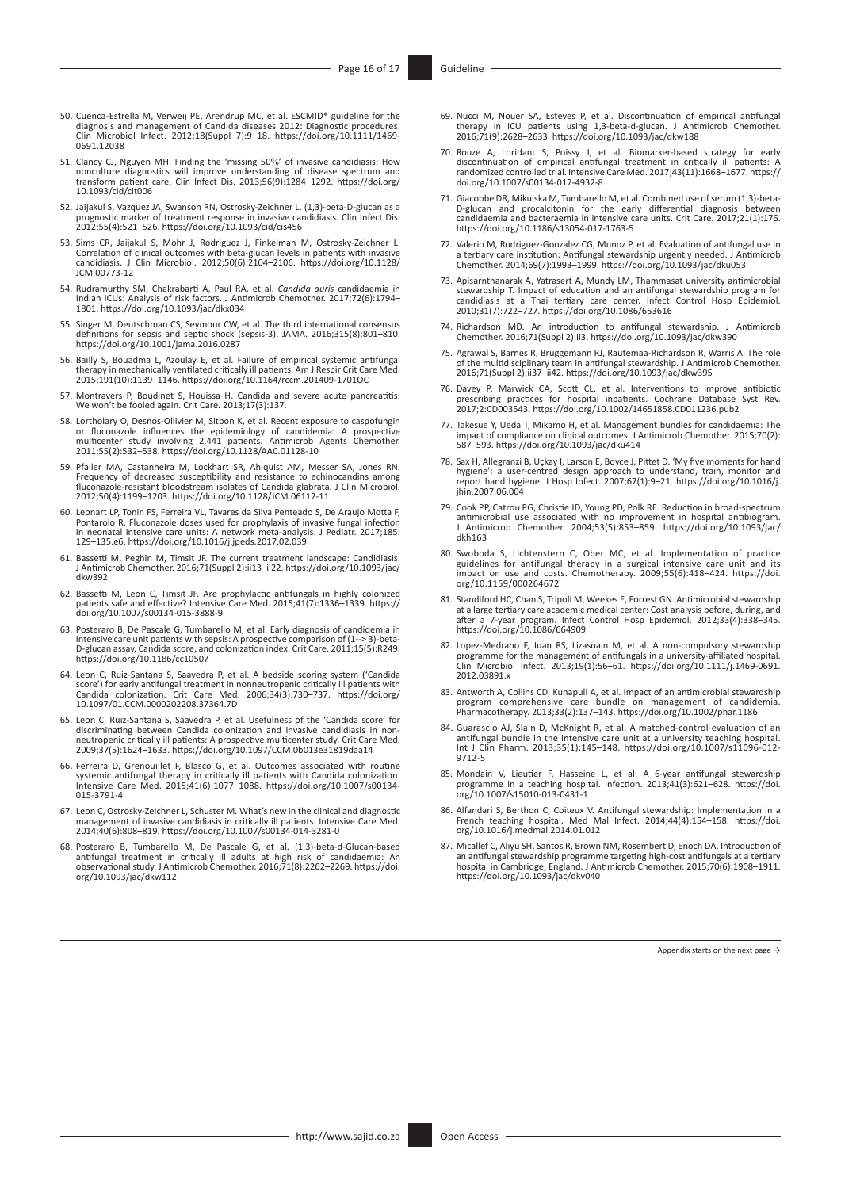- <span id="page-15-1"></span>[50.](#page-10-2) Cuenca-Estrella M, Verweij PE, Arendrup MC, et al. ESCMID\* guideline for the diagnosis and management of Candida diseases 2012: Diagnostic procedures. Clin Microbiol Infect. 2012;18(Suppl 7):9–18. [https://doi.org/10.1111/1469-](https://doi.org/10.1111/1469-0691.12038) [0691.12038](https://doi.org/10.1111/1469-0691.12038)
- <span id="page-15-2"></span>[51.](#page-10-3) Clancy CJ, Nguyen MH. Finding the 'missing 50%' of invasive candidiasis: How nonculture diagnostics will improve understanding of disease spectrum and transform patient care. Clin Infect Dis. 2013;56(9):1284–1292. [https://doi.org/](https://doi.org/10.1093/cid/cit006) [10.1093/cid/cit006](https://doi.org/10.1093/cid/cit006)
- <span id="page-15-3"></span>[52.](#page-10-4) Jaijakul S, Vazquez JA, Swanson RN, Ostrosky-Zeichner L. (1,3)-beta-D-glucan as a prognostic marker of treatment response in invasive candidiasis. Clin Infect Dis. 2012;55(4):521–526. <https://doi.org/10.1093/cid/cis456>
- <span id="page-15-4"></span>[53.](#page-10-5) Sims CR, Jaijakul S, Mohr J, Rodriguez J, Finkelman M, Ostrosky-Zeichner L.<br>Correlation of clinical outcomes with beta-glucan levels in patients with invasive<br>candidiasis. J Clin Microbiol. 2012;50(6):2104–2106. https: [JCM.00773-12](https://doi.org/10.1128/JCM.00773-12)
- <span id="page-15-5"></span>[54.](#page-10-6) Rudramurthy SM, Chakrabarti A, Paul RA, et al. *Candida auris* candidaemia in Indian ICUs: Analysis of risk factors. J Antimicrob Chemother. 2017;72(6):1794– 1801.<https://doi.org/10.1093/jac/dkx034>
- <span id="page-15-6"></span>[55.](#page-10-7) Singer M, Deutschman CS, Seymour CW, et al. The third international consensus definitions for sepsis and septic shock (sepsis-3). JAMA. 2016;315(8):801–810. <https://doi.org/10.1001/jama.2016.0287>
- <span id="page-15-7"></span>[56.](#page-11-0) Bailly S, Bouadma L, Azoulay E, et al. Failure of empirical systemic antifungal therapy in mechanically ventilated critically ill patients. Am J Respir Crit Care Med. 2015;191(10):1139–1146.<https://doi.org/10.1164/rccm.201409-1701OC>
- <span id="page-15-8"></span>[57.](#page-11-1) Montravers P, Boudinet S, Houissa H. Candida and severe acute pancreatitis: We won't be fooled again. Crit Care. 2013;17(3):137.
- <span id="page-15-9"></span>[58.](#page-11-2) Lortholary O, Desnos-Ollivier M, Sitbon K, et al. Recent exposure to caspofungin or fluconazole influences the epidemiology of candidemia: A prospective<br>multicenter study involving 2,441 patients. Antimicrob Agents Chemother.<br>2011;55(2):532–538. <https://doi.org/10.1128/AAC.01128-10>
- <span id="page-15-10"></span>[59.](#page-11-3) Pfaller MA, Castanheira M, Lockhart SR, Ahlquist AM, Messer SA, Jones RN. Frequency of decreased susceptibility and resistance to echinocandins among fluconazole-resistant bloodstream isolates of Candida glabrata. J Clin Microbiol. 2012;50(4):1199–1203. <https://doi.org/10.1128/JCM.06112-11>
- <span id="page-15-11"></span>[60.](#page-11-4) Leonart LP, Tonin FS, Ferreira VL, Tavares da Silva Penteado S, De Araujo Motta F, Pontarolo R. Fluconazole doses used for prophylaxis of invasive fungal infection in neonatal intensive care units: A network meta-analysis. J Pediatr. 2017;185: 129–135.e6. <https://doi.org/10.1016/j.jpeds.2017.02.039>
- <span id="page-15-12"></span>[61.](#page-11-5) Bassetti M, Peghin M, Timsit JF. The current treatment landscape: Candidiasis. J Antimicrob Chemother. 2016;71(Suppl 2):ii13–ii22. [https://doi.org/10.1093/jac/](https://doi.org/10.1093/jac/dkw392) [dkw392](https://doi.org/10.1093/jac/dkw392)
- <span id="page-15-13"></span>[62.](#page-11-6) Bassetti M, Leon C, Timsit JF. Are prophylactic antifungals in highly colonized patients safe and effective? Intensive Care Med. 2015;41(7):1336–1339. [https://](https://doi.org/10.1007/s00134-015-3888-9) [doi.org/10.1007/s00134-015-3888-9](https://doi.org/10.1007/s00134-015-3888-9)
- <span id="page-15-14"></span>[63.](#page-11-7) Posteraro B, De Pascale G, Tumbarello M, et al. Early diagnosis of candidemia in intensive care unit patients with sepsis: A prospective comparison of (1--> 3)-beta-<br>D-glucan assay, Candida score, and colonization index. Crit Care. 2011;15(5):R249 D-glucan assay, Candida score, and colonization index. Crit Care. 2011;15(5):R249. <https://doi.org/10.1186/cc10507>
- <span id="page-15-15"></span>[64.](#page-11-8) Leon C, Ruiz-Santana S, Saavedra P, et al. A bedside scoring system ('Candida score') for early antifungal treatment in nonneutropenic critically ill patients with Candida colonization. Crit Care Med. 2006;34(3):730–737. [https://doi.org/](https://doi.org/10.1097/01.CCM.0000202208.37364.7D) [10.1097/01.CCM.0000202208.37364.7D](https://doi.org/10.1097/01.CCM.0000202208.37364.7D)
- <span id="page-15-16"></span>[65.](#page-11-9) Leon C, Ruiz-Santana S, Saavedra P, et al. Usefulness of the 'Candida score' for discriminating between Candida colonization and invasive candidiasis in nonneutropenic critically ill patients: A prospective multicenter study. Crit Care Med. 2009;37(5):1624–1633. <https://doi.org/10.1097/CCM.0b013e31819daa14>
- <span id="page-15-17"></span>[66.](#page-11-10) Ferreira D, Grenouillet F, Blasco G, et al. Outcomes associated with routine<br>systemic antifungal therapy in critically ill patients with Candida colonization.<br>Intensive Care Med. 2015;41(6):1077-1088. https://doi.org/1 [015-3791-4](https://doi.org/10.1007/s00134-015-3791-4)
- <span id="page-15-18"></span>[67.](#page-11-11) Leon C, Ostrosky-Zeichner L, Schuster M. What's new in the clinical and diagnostic management of invasive candidiasis in critically ill patients. Intensive Care Med. 2014;40(6):808–819. <https://doi.org/10.1007/s00134-014-3281-0>
- <span id="page-15-19"></span>[68.](#page-12-0) Posteraro B, Tumbarello M, De Pascale G, et al. (1,3)-beta-d-Glucan-based antifungal treatment in critically ill adults at high risk of candidaemia: An observational study. J Antimicrob Chemother. 2016;71(8):2262–2269. [https://doi.](https://doi.org/10.1093/jac/dkw112) [org/10.1093/jac/dkw112](https://doi.org/10.1093/jac/dkw112)
- <span id="page-15-20"></span>[69.](#page-12-1) Nucci M, Nouer SA, Esteves P, et al. Discontinuation of empirical antifungal therapy in ICU patients using 1,3-beta-d-glucan. J Antimicrob Chemother. 2016;71(9):2628–2633.<https://doi.org/10.1093/jac/dkw188>
- <span id="page-15-21"></span>[70.](#page-12-2) Rouze A, Loridant S, Poissy J, et al. Biomarker-based strategy for early discontinuation of empirical antifungal treatment in critically ill patients: A randomized controlled trial. Intensive Care Med. 2017;43(11):1668–1677. [https://](https://doi.org/10.1007/s00134-017-4932-8) [doi.org/10.1007/s00134-017-4932-8](https://doi.org/10.1007/s00134-017-4932-8)
- <span id="page-15-22"></span>[71.](#page-12-3) Giacobbe DR, Mikulska M, Tumbarello M, et al. Combined use of serum (1,3)-beta-<br>D-glucan and procalcitonin for the early differential diagnosis between<br>candidaemia and bacteraemia in intensive care units. Crit Care. 20 <https://doi.org/10.1186/s13054-017-1763-5>
- <span id="page-15-23"></span>[72.](#page-12-4) Valerio M, Rodriguez-Gonzalez CG, Munoz P, et al. Evaluation of antifungal use in a tertiary care institution: Antifungal stewardship urgently needed. J Antimicrob Chemother. 2014;69(7):1993–1999. <https://doi.org/10.1093/jac/dku053>
- <span id="page-15-24"></span>[73.](#page-12-5) Apisarnthanarak A, Yatrasert A, Mundy LM, Thammasat university antimicrobial stewardship T. Impact of education and an antifungal stewardship program for candidiasis at a Thai tertiary care center. Infect Control Hosp Epidemiol. 2010;31(7):722–727.<https://doi.org/10.1086/653616>
- <span id="page-15-25"></span>[74.](#page-12-6) Richardson MD. An introduction to antifungal stewardship. J Antimicrob Chemother. 2016;71(Suppl 2):ii3.<https://doi.org/10.1093/jac/dkw390>
- <span id="page-15-26"></span>[75.](#page-12-7) Agrawal S, Barnes R, Bruggemann RJ, Rautemaa-Richardson R, Warris A. The role of the multidisciplinary team in antifungal stewardship. J Antimicrob Chemother. 2016;71(Suppl 2):ii37–ii42. <https://doi.org/10.1093/jac/dkw395>
- <span id="page-15-27"></span>[76.](#page-12-8) Davey P, Marwick CA, Scott CL, et al. Interventions to improve antibiotic prescribing practices for hospital inpatients. Cochrane Database Syst Rev. 2017;2:CD003543.<https://doi.org/10.1002/14651858.CD011236.pub2>
- <span id="page-15-28"></span>[77.](#page-13-0) Takesue Y, Ueda T, Mikamo H, et al. Management bundles for candidaemia: The impact of compliance on clinical outcomes. J Antimicrob Chemother. 2015;70(2): 587–593.<https://doi.org/10.1093/jac/dku414>
- <span id="page-15-0"></span>[78.](#page-15-0) Sax H, Allegranzi B, Uçkay I, Larson E, Boyce J, Pittet D. 'My five moments for hand hygiene': a user-centred design approach to understand, train, monitor and report hand hygiene. J Hosp Infect. 2007;67(1):9–21. [https://doi.org/10.1016/j.](https://doi.org/10.1016/j.jhin.2007.06.004) [jhin.2007.06.004](https://doi.org/10.1016/j.jhin.2007.06.004)
- <span id="page-15-29"></span>[79.](#page-16-0) Cook PP, Catrou PG, Christie JD, Young PD, Polk RE. Reduction in broad-spectrum antimicrobial use associated with no improvement in hospital antibiogram. J Antimicrob Chemother. 2004;53(5):853–859. [https://doi.org/10.1093/jac/](https://doi.org/10.1093/jac/dkh163) [dkh163](https://doi.org/10.1093/jac/dkh163)
- <span id="page-15-30"></span>[80.](#page-16-1) Swoboda S, Lichtenstern C, Ober MC, et al. Implementation of practice guidelines for antifungal therapy in a surgical intensive care unit and its impact on use and costs. Chemotherapy. 2009;55(6):418–424. [https://doi.](https://doi.org/10.1159/000264672) [org/10.1159/000264672](https://doi.org/10.1159/000264672)
- <span id="page-15-31"></span>[81.](#page-16-2) Standiford HC, Chan S, Tripoli M, Weekes E, Forrest GN. Antimicrobial stewardship at a large tertiary care academic medical center: Cost analysis before, during, and after a 7-year program. Infect Control Hosp Epidemiol. 2012;33(4):338–345. <https://doi.org/10.1086/664909>
- <span id="page-15-32"></span>[82.](#page-16-3) Lopez-Medrano F, Juan RS, Lizasoain M, et al. A non-compulsory stewardship programme for the management of antifungals in a university-affiliated hospital. Clin Microbiol Infect. 2013;19(1):56–61. [https://doi.org/10.1111/j.1469-0691.](https://doi.org/10.1111/j.1469-0691.2012.03891.x) [2012.03891.x](https://doi.org/10.1111/j.1469-0691.2012.03891.x)
- <span id="page-15-33"></span>[83.](#page-16-4) Antworth A, Collins CD, Kunapuli A, et al. Impact of an antimicrobial stewardship program comprehensive care bundle on management of candidemia. Pharmacotherapy. 2013;33(2):137–143. <https://doi.org/10.1002/phar.1186>
- <span id="page-15-34"></span>[84.](#page-16-5) Guarascio AJ, Slain D, McKnight R, et al. A matched-control evaluation of an antifungal bundle in the intensive care unit at a university teaching hospital. Int J Clin Pharm. 2013;35(1):145–148. [https://doi.org/10.1007/s11096-012-](https://doi.org/10.1007/s11096-012-9712-5) [9712-5](https://doi.org/10.1007/s11096-012-9712-5)
- <span id="page-15-35"></span>[85.](#page-16-6) Mondain V, Lieutier F, Hasseine L, et al. A 6-year antifungal stewardship programme in a teaching hospital. Infection. 2013;41(3):621–628. [https://doi.](https://doi.org/10.1007/s15010-013-0431-1) [org/10.1007/s15010-013-0431-1](https://doi.org/10.1007/s15010-013-0431-1)
- <span id="page-15-36"></span>[86.](#page-16-7) Alfandari S, Berthon C, Coiteux V. Antifungal stewardship: Implementation in a French teaching hospital. Med Mal Infect. 2014;44(4):154–158. [https://doi.](https://doi.org/10.1016/j.medmal.2014.01.012) [org/10.1016/j.medmal.2014.01.012](https://doi.org/10.1016/j.medmal.2014.01.012)
- <span id="page-15-37"></span>[87.](#page-16-8) Micallef C, Aliyu SH, Santos R, Brown NM, Rosembert D, Enoch DA. Introduction of an antifungal stewardship programme targeting high-cost antifungals at a tertiary hospital in Cambridge, England. J Antimicrob Chemother. 2015;70(6):1908–1911. <https://doi.org/10.1093/jac/dkv040>

Appendix starts on the next page →